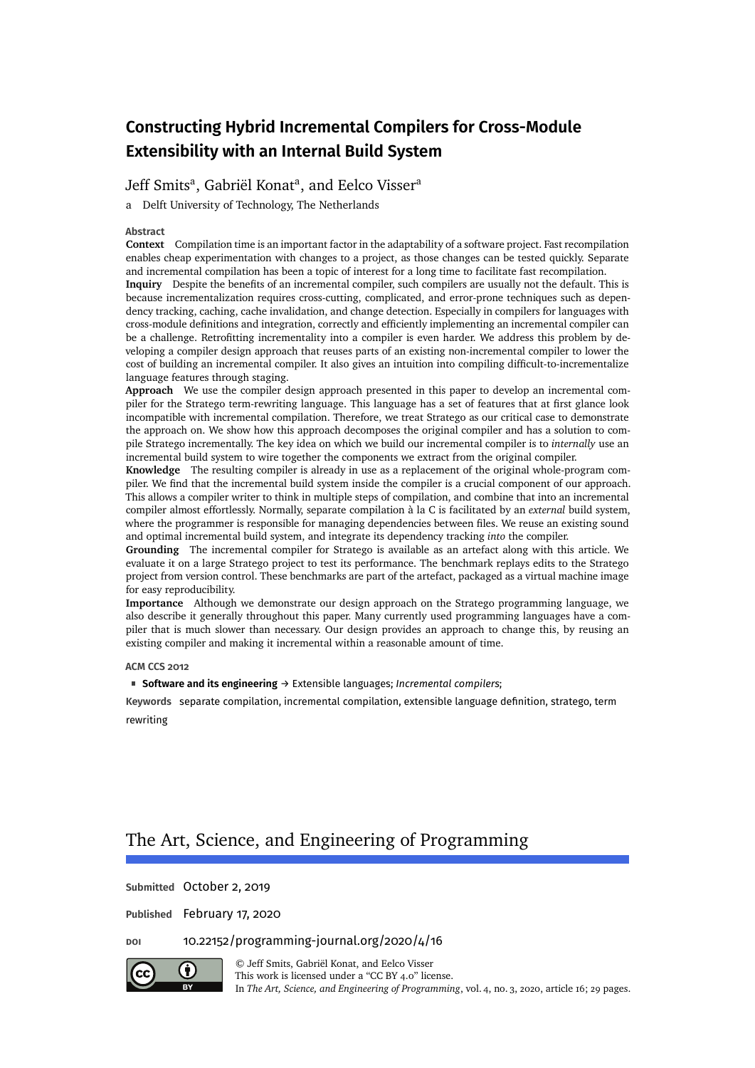# **Constructing Hybrid Incremental Compilers for Cross-Module Extensibility with an Internal Build System**

# [Jeff Smits](#page-28-0)<sup>a</sup>, [Gabriël Konat](#page-28-1)<sup>a</sup>, and [Eelco Visser](#page-28-2)<sup>a</sup>

a Delft University of Technology, The Netherlands

#### **Abstract**

**Context** Compilation time is an important factor in the adaptability of a software project. Fast recompilation enables cheap experimentation with changes to a project, as those changes can be tested quickly. Separate and incremental compilation has been a topic of interest for a long time to facilitate fast recompilation. **Inquiry** Despite the benefits of an incremental compiler, such compilers are usually not the default. This is because incrementalization requires cross-cutting, complicated, and error-prone techniques such as dependency tracking, caching, cache invalidation, and change detection. Especially in compilers for languages with cross-module definitions and integration, correctly and efficiently implementing an incremental compiler can be a challenge. Retrofitting incrementality into a compiler is even harder. We address this problem by developing a compiler design approach that reuses parts of an existing non-incremental compiler to lower the cost of building an incremental compiler. It also gives an intuition into compiling difficult-to-incrementalize language features through staging.

**Approach** We use the compiler design approach presented in this paper to develop an incremental compiler for the Stratego term-rewriting language. This language has a set of features that at first glance look incompatible with incremental compilation. Therefore, we treat Stratego as our critical case to demonstrate the approach on. We show how this approach decomposes the original compiler and has a solution to compile Stratego incrementally. The key idea on which we build our incremental compiler is to *internally* use an incremental build system to wire together the components we extract from the original compiler.

**Knowledge** The resulting compiler is already in use as a replacement of the original whole-program compiler. We find that the incremental build system inside the compiler is a crucial component of our approach. This allows a compiler writer to think in multiple steps of compilation, and combine that into an incremental compiler almost effortlessly. Normally, separate compilation à la C is facilitated by an *external* build system, where the programmer is responsible for managing dependencies between files. We reuse an existing sound and optimal incremental build system, and integrate its dependency tracking *into* the compiler.

**Grounding** The incremental compiler for Stratego is available as an artefact along with this article. We evaluate it on a large Stratego project to test its performance. The benchmark replays edits to the Stratego project from version control. These benchmarks are part of the artefact, packaged as a virtual machine image for easy reproducibility.

**Importance** Although we demonstrate our design approach on the Stratego programming language, we also describe it generally throughout this paper. Many currently used programming languages have a compiler that is much slower than necessary. Our design provides an approach to change this, by reusing an existing compiler and making it incremental within a reasonable amount of time.

#### **ACM CCS 2012**

**Software and its engineering** → Extensible languages; *Incremental compilers*;

**Keywords** separate compilation, incremental compilation, extensible language definition, stratego, term rewriting

# The Art, Science, and Engineering of Programming

**Submitted** October 2, 2019

**Published** February 17, 2020



**doi** [10.22152/programming-journal.org/2020/4/16](https://doi.org/10.22152/programming-journal.org/2020/4/16) © [Jeff Smits,](#page-28-0) [Gabriël Konat,](#page-28-1) and [Eelco Visser](#page-28-2)

This work is licensed undera ["CC BY 4.0"](https://creativecommons.org/licenses/by/4.0/deed.en) license. In *The Art, Science, and Engineering of Programming*, vol. 4, no. 3, 2020, article 16; [29](#page-28-3) pages.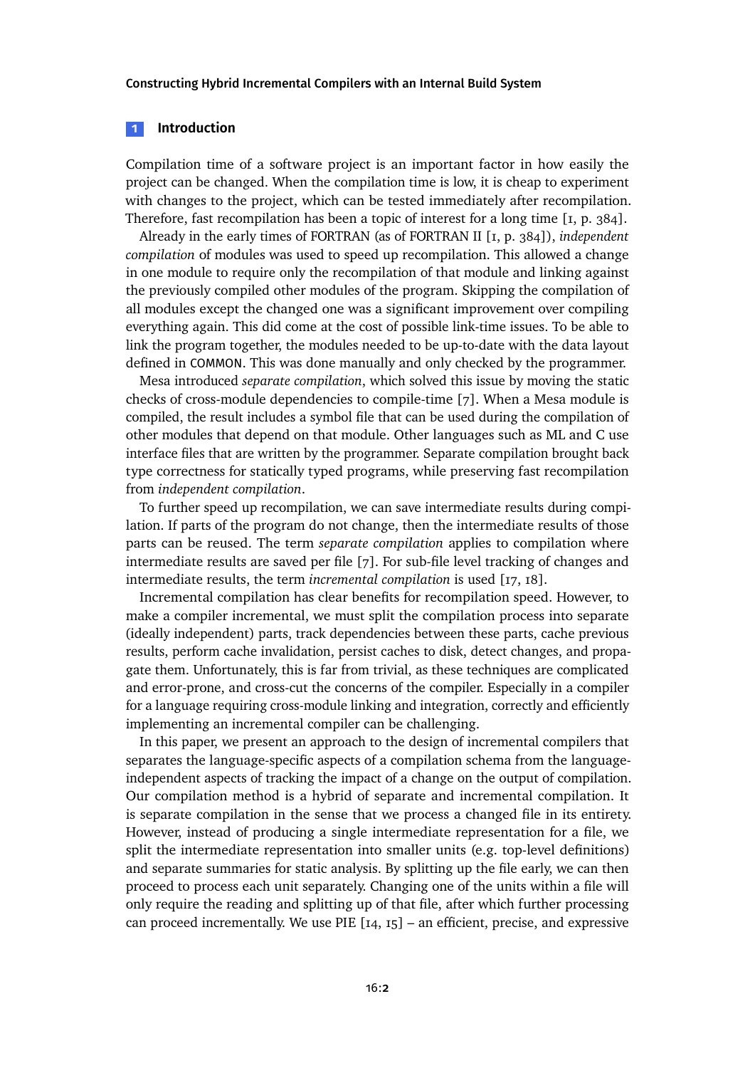#### **1 Introduction**

Compilation time of a software project is an important factor in how easily the project can be changed. When the compilation time is low, it is cheap to experiment with changes to the project, which can be tested immediately after recompilation. Therefore, fast recompilation has been a topic of interest for a long time [\[1,](#page-23-0) p. 384].

Already in the early times of FORTRAN (as of FORTRAN II [\[1,](#page-23-0) p. 384]), *independent compilation* of modules was used to speed up recompilation. This allowed a change in one module to require only the recompilation of that module and linking against the previously compiled other modules of the program. Skipping the compilation of all modules except the changed one was a significant improvement over compiling everything again. This did come at the cost of possible link-time issues. To be able to link the program together, the modules needed to be up-to-date with the data layout defined in COMMON. This was done manually and only checked by the programmer.

Mesa introduced *separate compilation*, which solved this issue by moving the static checks of cross-module dependencies to compile-time [\[7\]](#page-24-0). When a Mesa module is compiled, the result includes a symbol file that can be used during the compilation of other modules that depend on that module. Other languages such as ML and C use interface files that are written by the programmer. Separate compilation brought back type correctness for statically typed programs, while preserving fast recompilation from *independent compilation*.

To further speed up recompilation, we can save intermediate results during compilation. If parts of the program do not change, then the intermediate results of those parts can be reused. The term *separate compilation* applies to compilation where intermediate results are saved per file [\[7\]](#page-24-0). For sub-file level tracking of changes and intermediate results, the term *incremental compilation* is used [\[17,](#page-25-0) [18\]](#page-25-1).

Incremental compilation has clear benefits for recompilation speed. However, to make a compiler incremental, we must split the compilation process into separate (ideally independent) parts, track dependencies between these parts, cache previous results, perform cache invalidation, persist caches to disk, detect changes, and propagate them. Unfortunately, this is far from trivial, as these techniques are complicated and error-prone, and cross-cut the concerns of the compiler. Especially in a compiler for a language requiring cross-module linking and integration, correctly and efficiently implementing an incremental compiler can be challenging.

In this paper, we present an approach to the design of incremental compilers that separates the language-specific aspects of a compilation schema from the languageindependent aspects of tracking the impact of a change on the output of compilation. Our compilation method is a hybrid of separate and incremental compilation. It is separate compilation in the sense that we process a changed file in its entirety. However, instead of producing a single intermediate representation for a file, we split the intermediate representation into smaller units (e.g. top-level definitions) and separate summaries for static analysis. By splitting up the file early, we can then proceed to process each unit separately. Changing one of the units within a file will only require the reading and splitting up of that file, after which further processing can proceed incrementally. We use PIE  $[I4, I5]$  – an efficient, precise, and expressive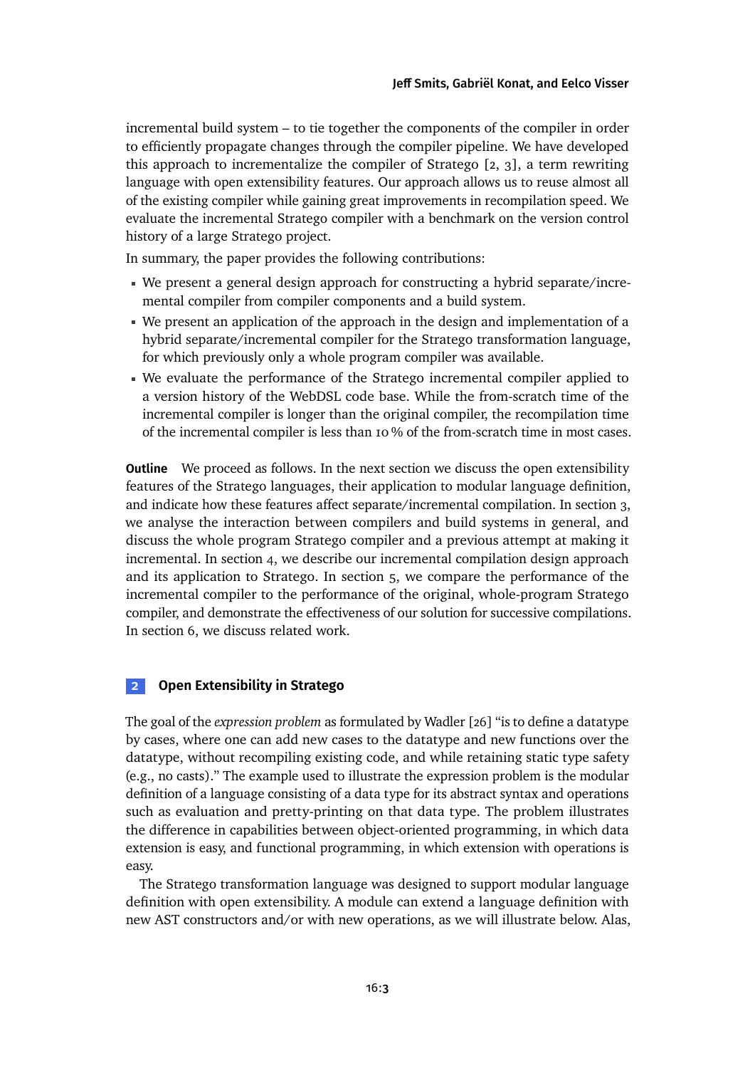incremental build system – to tie together the components of the compiler in order to efficiently propagate changes through the compiler pipeline. We have developed this approach to incrementalize the compiler of Stratego [\[2,](#page-23-1) [3\]](#page-24-1), a term rewriting language with open extensibility features. Our approach allows us to reuse almost all of the existing compiler while gaining great improvements in recompilation speed. We evaluate the incremental Stratego compiler with a benchmark on the version control history of a large Stratego project.

In summary, the paper provides the following contributions:

- We present a general design approach for constructing a hybrid separate/incremental compiler from compiler components and a build system.
- We present an application of the approach in the design and implementation of a hybrid separate/incremental compiler for the Stratego transformation language, for which previously only a whole program compiler was available.
- We evaluate the performance of the Stratego incremental compiler applied to a version history of the WebDSL code base. While the from-scratch time of the incremental compiler is longer than the original compiler, the recompilation time of the incremental compiler is less than 10 % of the from-scratch time in most cases.

**Outline** We proceed as follows. In the next section we discuss the open extensibility features of the Stratego languages, their application to modular language definition, and indicate how these features affect separate/incremental compilation. In [section 3,](#page-7-0) we analyse the interaction between compilers and build systems in general, and discuss the whole program Stratego compiler and a previous attempt at making it incremental. In [section 4,](#page-12-0) we describe our incremental compilation design approach and its application to Stratego. In [section 5,](#page-16-0) we compare the performance of the incremental compiler to the performance of the original, whole-program Stratego compiler, and demonstrate the effectiveness of our solution for successive compilations. In [section 6,](#page-21-0) we discuss related work.

## **2 Open Extensibility in Stratego**

The goal of the *expression problem* as formulated by Wadler [\[26\]](#page-26-0) "is to define a datatype by cases, where one can add new cases to the datatype and new functions over the datatype, without recompiling existing code, and while retaining static type safety (e.g., no casts)." The example used to illustrate the expression problem is the modular definition of a language consisting of a data type for its abstract syntax and operations such as evaluation and pretty-printing on that data type. The problem illustrates the difference in capabilities between object-oriented programming, in which data extension is easy, and functional programming, in which extension with operations is easy.

The Stratego transformation language was designed to support modular language definition with open extensibility. A module can extend a language definition with new AST constructors and/or with new operations, as we will illustrate below. Alas,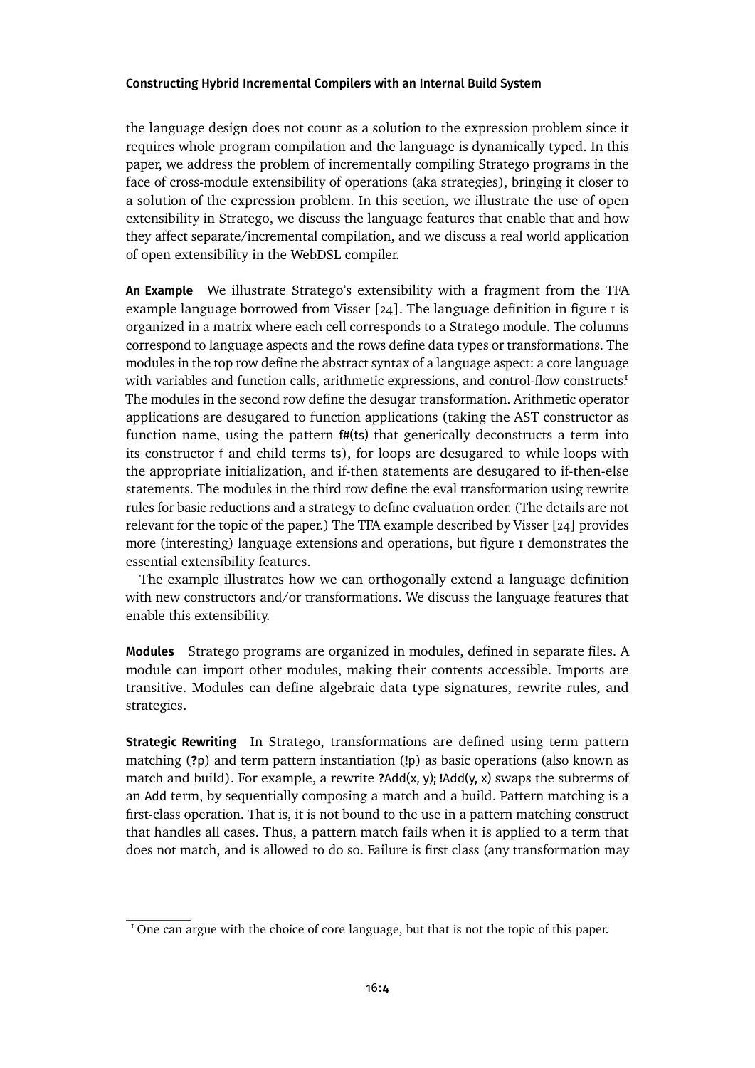the language design does not count as a solution to the expression problem since it requires whole program compilation and the language is dynamically typed. In this paper, we address the problem of incrementally compiling Stratego programs in the face of cross-module extensibility of operations (aka strategies), bringing it closer to a solution of the expression problem. In this section, we illustrate the use of open extensibility in Stratego, we discuss the language features that enable that and how they affect separate/incremental compilation, and we discuss a real world application of open extensibility in the WebDSL compiler.

**An Example** We illustrate Stratego's extensibility with a fragment from the TFA example language borrowed from Visser  $[24]$ . The language definition in figure  $\bar{1}$  is organized in a matrix where each cell corresponds to a Stratego module. The columns correspond to language aspects and the rows define data types or transformations. The modules in the top row define the abstract syntax of a language aspect: a core language with variables and function calls, arithmetic expressions, and control-flow constructs! The modules in the second row define the desugar transformation. Arithmetic operator applications are desugared to function applications (taking the AST constructor as function name, using the pattern f#(ts) that generically deconstructs a term into its constructor f and child terms ts), for loops are desugared to while loops with the appropriate initialization, and if-then statements are desugared to if-then-else statements. The modules in the third row define the eval transformation using rewrite rules for basic reductions and a strategy to define evaluation order. (The details are not relevant for the topic of the paper.) The TFA example described by Visser [\[24\]](#page-26-1) provides more (interesting) language extensions and operations, but [figure 1](#page-4-0) demonstrates the essential extensibility features.

The example illustrates how we can orthogonally extend a language definition with new constructors and/or transformations. We discuss the language features that enable this extensibility.

**Modules** Stratego programs are organized in modules, defined in separate files. A module can import other modules, making their contents accessible. Imports are transitive. Modules can define algebraic data type signatures, rewrite rules, and strategies.

**Strategic Rewriting** In Stratego, transformations are defined using term pattern matching (**?**p) and term pattern instantiation (**!**p) as basic operations (also known as match and build). For example, a rewrite **?**Add(x, y); **!**Add(y, x) swaps the subterms of an Add term, by sequentially composing a match and a build. Pattern matching is a first-class operation. That is, it is not bound to the use in a pattern matching construct that handles all cases. Thus, a pattern match fails when it is applied to a term that does not match, and is allowed to do so. Failure is first class (any transformation may

<span id="page-3-0"></span> $<sup>I</sup>$  One can argue with the choice of core language, but that is not the topic of this paper.</sup>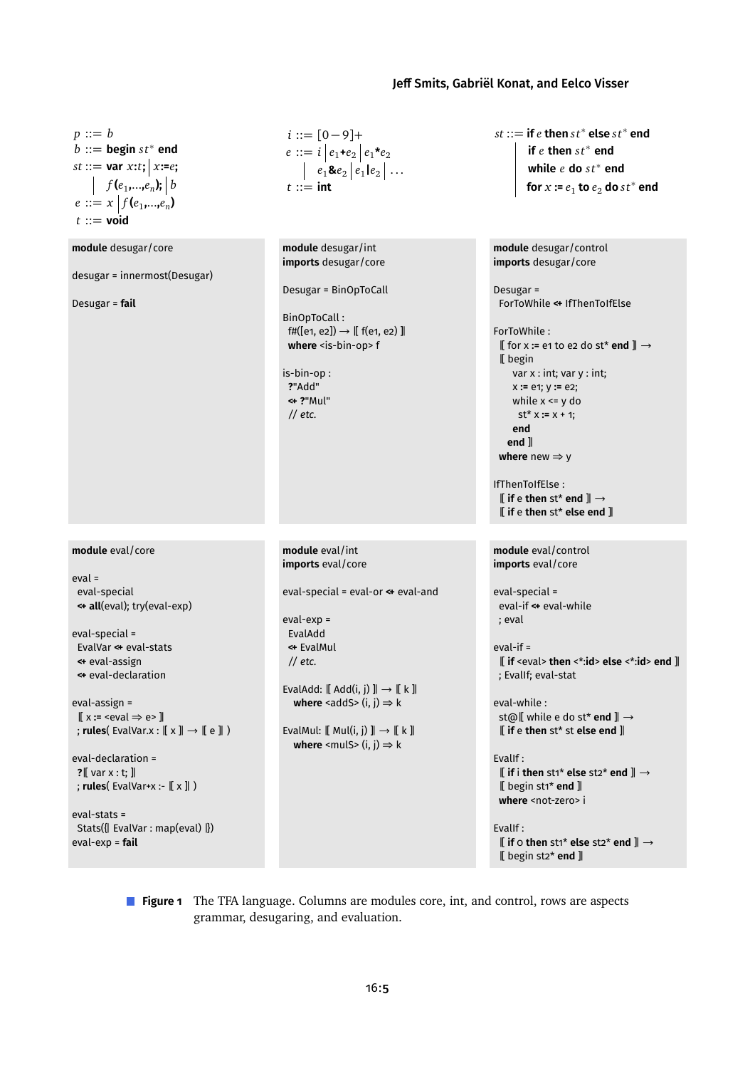[Jeff Smits,](#page-28-0) [Gabriël Konat,](#page-28-1) and [Eelco Visser](#page-28-2)

<span id="page-4-0"></span>*p* ::= *b*  $\overline{b}$  ::= **begin**  $st^*$  **end**  $st ::= \textbf{var } x: t; | x:=e;$ *f* ( $e_1$ ,..., $e_n$ ); | *b*  $e ::= x | f(e_1, \ldots, e_n)$  $t :=$ **void**  $i ::= [0 - 9] +$  $e ::= i | e_1 + e_2 | e_1 + e_2$  $e_1$ & $e_2$   $|e_1|$  $e_2$   $|$   $\ldots$ *t* ::= **int**  $st ::=$  if  $e$  then  $st^*$  else  $st^*$  end **if** *e* **then** *s t*<sup>∗</sup> **end while** *e* **do** *s t*<sup>∗</sup> **end** for  $x := e_1$  to  $e_2$  do  $st^*$  end **module** desugar/core desugar = innermost(Desugar) Desugar = **fail module** desugar/int **imports** desugar/core Desugar = BinOpToCall BinOpToCall :  $f#([e1, e2]) \rightarrow [f(e1, e2)]$ where <is-bin-op> f is-bin-op : **?**"Add" **<+ ?**"Mul" *// etc.* **module** desugar/control **imports** desugar/core Desugar = ForToWhile **<+** IfThenToIfElse ForToWhile : |[ for x **:=** e1 to e2 do st\* **end** ]| → |[ begin var x : int; var y : int; x **:=** e1; y **:=** e2; while x <= y do  $st^* x := x + 1;$ **end end** ]| **where** new ⇒ y IfThenToIfElse : |[ **if** e **then** st\* **end** ]| → |[ **if** e **then** st\* **else end** ]| **module** eval/core eval = eval-special **<+ all**(eval); try(eval-exp) eval-special = EvalVar **<+** eval-stats **<+** eval-assign **<+** eval-declaration eval-assign = |[ x **:=** <eval ⇒ e> ]| ; **rules**( EvalVar.x : |[ x ]| → |[ e ]| ) eval-declaration = **?**|[ var x : t; ]| ; **rules**( EvalVar+x :- |[ x ]| ) eval-stats = Stats({| EvalVar : map(eval) |}) eval-exp = **fail module** eval/int **imports** eval/core eval-special = eval-or **<+** eval-and eval-exp = EvalAdd **<+** EvalMul *// etc.* EvalAdd:  $[[ \text{Add}(i, j) ]] \rightarrow [[k]]$ **where** <addS>  $(i, j) \Rightarrow k$ EvalMul:  $[[ Mul(i, j) ]] \rightarrow [[ k ]]$ **where** <mulS>  $(i, j) \Rightarrow k$ **module** eval/control **imports** eval/core eval-special = eval-if **<+** eval-while ; eval eval-if = |[ **if** <eval> **then** <\*:**id**> **else** <\*:**id**> **end** ]| ; EvalIf; eval-stat eval-while : st@|[ while e do st\* **end** ]| → |[ **if** e **then** st\* st **else end** ]| EvalIf : |[ **if** i **then** st1\* **else** st2\* **end** ]| → |[ begin st1\* **end** ]| where <not-zero> i EvalIf : |[ **if** 0 **then** st1\* **else** st2\* **end** ]| → |[ begin st2\* **end** ]|

> **Figure 1** The TFA language. Columns are modules core, int, and control, rows are aspects grammar, desugaring, and evaluation.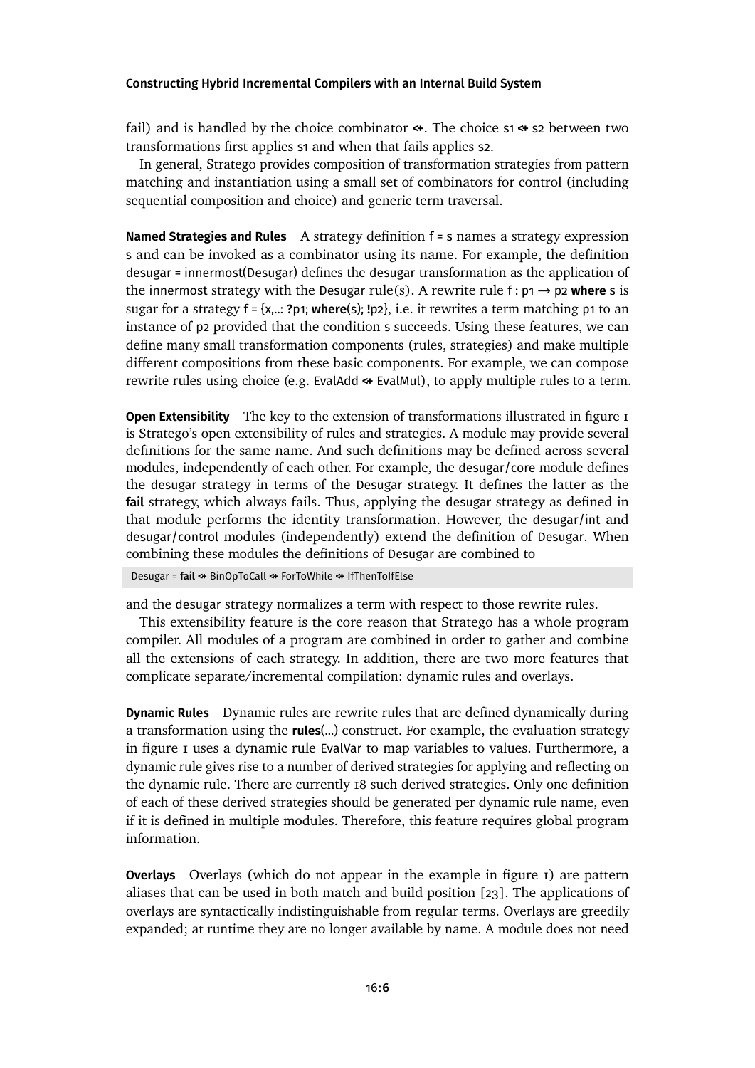fail) and is handled by the choice combinator **<+**. The choice s1 **<+** s2 between two transformations first applies s1 and when that fails applies s2.

In general, Stratego provides composition of transformation strategies from pattern matching and instantiation using a small set of combinators for control (including sequential composition and choice) and generic term traversal.

**Named Strategies and Rules** A strategy definition f = s names a strategy expression s and can be invoked as a combinator using its name. For example, the definition desugar = innermost(Desugar) defines the desugar transformation as the application of the innermost strategy with the Desugar rule(s). A rewrite rule f :  $p_1 \rightarrow p_2$  where s is sugar for a strategy f = {x,..: **?**p1; **where**(s); **!**p2}, i.e. it rewrites a term matching p1 to an instance of p2 provided that the condition s succeeds. Using these features, we can define many small transformation components (rules, strategies) and make multiple different compositions from these basic components. For example, we can compose rewrite rules using choice (e.g. EvalAdd **<+** EvalMul), to apply multiple rules to a term.

**OpenExtensibility** The key to the extension of transformations illustrated in [figure 1](#page-4-0) is Stratego's open extensibility of rules and strategies. A module may provide several definitions for the same name. And such definitions may be defined across several modules, independently of each other. For example, the desugar/core module defines the desugar strategy in terms of the Desugar strategy. It defines the latter as the **fail** strategy, which always fails. Thus, applying the desugar strategy as defined in that module performs the identity transformation. However, the desugar/int and desugar/control modules (independently) extend the definition of Desugar. When combining these modules the definitions of Desugar are combined to

Desugar = **fail <+** BinOpToCall **<+** ForToWhile **<+** IfThenToIfElse

and the desugar strategy normalizes a term with respect to those rewrite rules.

This extensibility feature is the core reason that Stratego has a whole program compiler. All modules of a program are combined in order to gather and combine all the extensions of each strategy. In addition, there are two more features that complicate separate/incremental compilation: dynamic rules and overlays.

**Dynamic Rules** Dynamic rules are rewrite rules that are defined dynamically during a transformation using the **rules**(...) construct. For example, the evaluation strategy in [figure 1](#page-4-0) uses a dynamic rule EvalVar to map variables to values. Furthermore, a dynamic rule gives rise to a number of derived strategies for applying and reflecting on the dynamic rule. There are currently 18 such derived strategies. Only one definition of each of these derived strategies should be generated per dynamic rule name, even if it is defined in multiple modules. Therefore, this feature requires global program information.

**Overlays** Overlays (which do not appear in the example in [figure 1\)](#page-4-0) are pattern aliases that can be used in both match and build position [\[23\]](#page-26-2). The applications of overlays are syntactically indistinguishable from regular terms. Overlays are greedily expanded; at runtime they are no longer available by name. A module does not need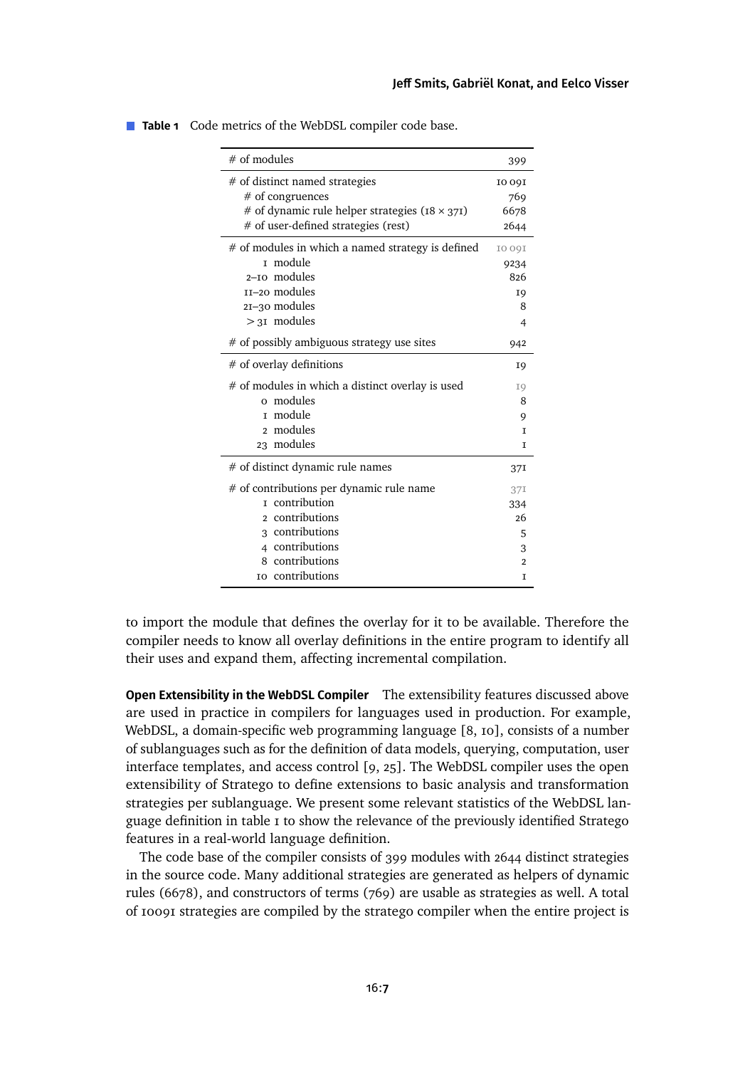| $#$ of modules                                          | 399            |
|---------------------------------------------------------|----------------|
| # of distinct named strategies                          | <b>1009I</b>   |
| $#$ of congruences                                      | 769            |
| # of dynamic rule helper strategies ( $18 \times 371$ ) | 6678           |
| # of user-defined strategies (rest)                     | 2644           |
| # of modules in which a named strategy is defined       | <b>IO 09I</b>  |
| I module                                                | 9234           |
| 2-to modules                                            | 826            |
| II-20 modules                                           | I <sub>9</sub> |
| $2I-30$ modules                                         | 8              |
| $>31$ modules                                           | $\overline{4}$ |
| # of possibly ambiguous strategy use sites              | 942            |
| $#$ of overlay definitions                              | 19             |
| # of modules in which a distinct overlay is used        | I9             |
| o modules                                               | 8              |
| module<br>T                                             | 9              |
| modules<br>2                                            | T              |
| 23 modules                                              | T              |
| # of distinct dynamic rule names                        | 37I            |
| # of contributions per dynamic rule name                | 37I            |
| <b>r</b> contribution                                   | 334            |
| contributions<br>2                                      | 26             |
| 3 contributions                                         | 5              |
| 4 contributions                                         | 3              |
| contributions<br>8                                      | $\overline{2}$ |
| to contributions                                        | T              |

<span id="page-6-0"></span>**Table 1** Code metrics of the WebDSL compiler code base.

to import the module that defines the overlay for it to be available. Therefore the compiler needs to know all overlay definitions in the entire program to identify all their uses and expand them, affecting incremental compilation.

**Open Extensibility in the WebDSL Compiler** The extensibility features discussed above are used in practice in compilers for languages used in production. For example, WebDSL, a domain-specific web programming language [\[8,](#page-24-2) [10\]](#page-24-3), consists of a number of sublanguages such as for the definition of data models, querying, computation, user interface templates, and access control [\[9,](#page-24-4) [25\]](#page-26-3). The WebDSL compiler uses the open extensibility of Stratego to define extensions to basic analysis and transformation strategies per sublanguage. We present some relevant statistics of the WebDSL language definitionin [table 1](#page-6-0) to show the relevance of the previously identified Stratego features in a real-world language definition.

The code base of the compiler consists of 399 modules with 2644 distinct strategies in the source code. Many additional strategies are generated as helpers of dynamic rules (6678), and constructors of terms (769) are usable as strategies as well. A total of 10091 strategies are compiled by the stratego compiler when the entire project is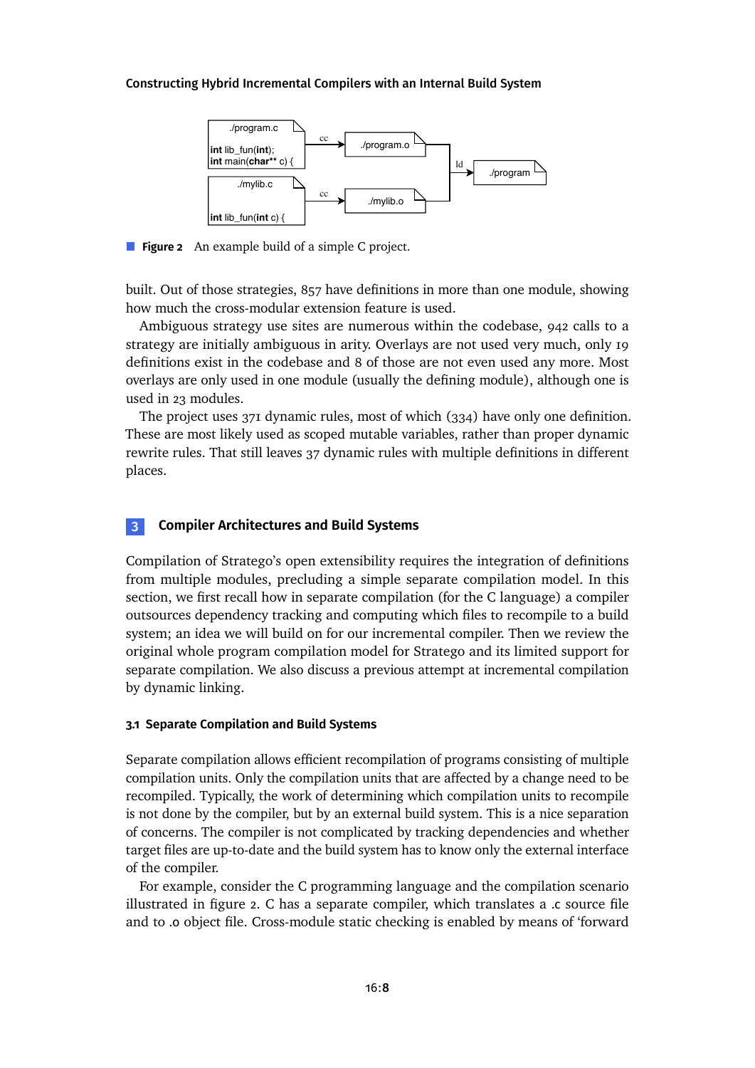<span id="page-7-1"></span>

**Figure 2** An example build of a simple C project.

built. Out of those strategies, 857 have definitions in more than one module, showing how much the cross-modular extension feature is used.

Ambiguous strategy use sites are numerous within the codebase, 942 calls to a strategy are initially ambiguous in arity. Overlays are not used very much, only 19 definitions exist in the codebase and 8 of those are not even used any more. Most overlays are only used in one module (usually the defining module), although one is used in 23 modules.

The project uses 371 dynamic rules, most of which (334) have only one definition. These are most likely used as scoped mutable variables, rather than proper dynamic rewrite rules. That still leaves 37 dynamic rules with multiple definitions in different places.

## <span id="page-7-0"></span>**3 Compiler Architectures and Build Systems**

Compilation of Stratego's open extensibility requires the integration of definitions from multiple modules, precluding a simple separate compilation model. In this section, we first recall how in separate compilation (for the C language) a compiler outsources dependency tracking and computing which files to recompile to a build system; an idea we will build on for our incremental compiler. Then we review the original whole program compilation model for Stratego and its limited support for separate compilation. We also discuss a previous attempt at incremental compilation by dynamic linking.

#### **3.1 Separate Compilation and Build Systems**

Separate compilation allows efficient recompilation of programs consisting of multiple compilation units. Only the compilation units that are affected by a change need to be recompiled. Typically, the work of determining which compilation units to recompile is not done by the compiler, but by an external build system. This is a nice separation of concerns. The compiler is not complicated by tracking dependencies and whether target files are up-to-date and the build system has to know only the external interface of the compiler.

For example, consider the C programming language and the compilation scenario illustrated in [figure 2.](#page-7-1) C has a separate compiler, which translates a .c source file and to .o object file. Cross-module static checking is enabled by means of 'forward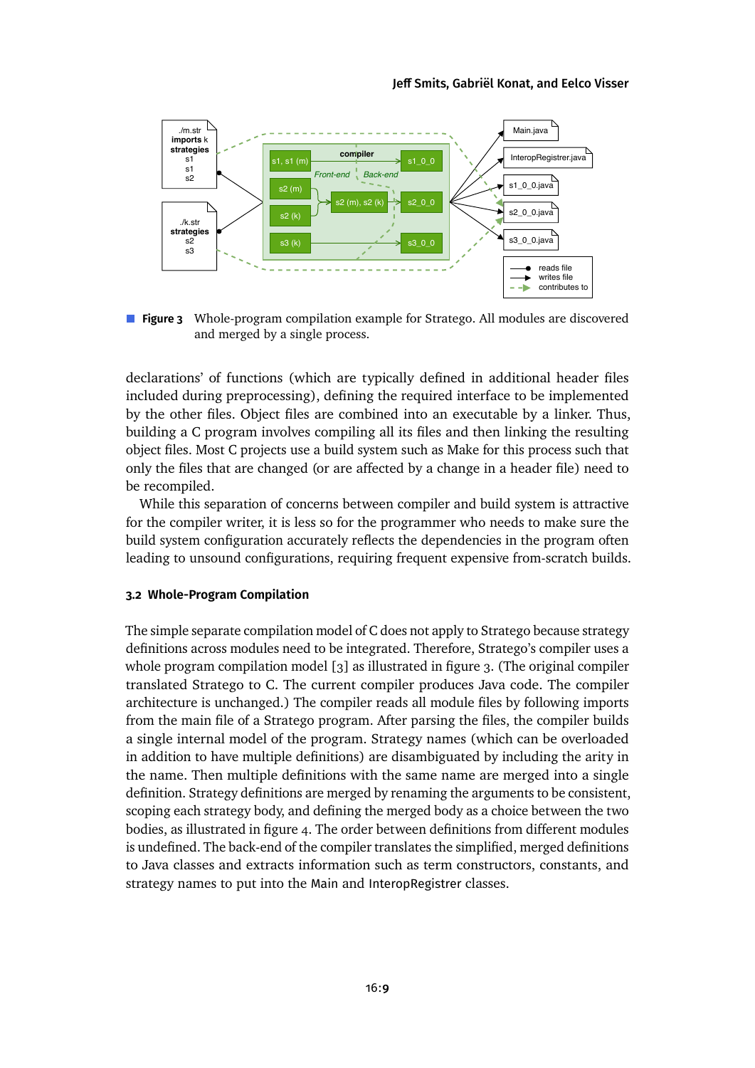<span id="page-8-0"></span>

**Figure 3** Whole-program compilation example for Stratego. All modules are discovered and merged by a single process.

declarations' of functions (which are typically defined in additional header files included during preprocessing), defining the required interface to be implemented by the other files. Object files are combined into an executable by a linker. Thus, building a C program involves compiling all its files and then linking the resulting object files. Most C projects use a build system such as Make for this process such that only the files that are changed (or are affected by a change in a header file) need to be recompiled.

While this separation of concerns between compiler and build system is attractive for the compiler writer, it is less so for the programmer who needs to make sure the build system configuration accurately reflects the dependencies in the program often leading to unsound configurations, requiring frequent expensive from-scratch builds.

#### **3.2 Whole-Program Compilation**

The simple separate compilation model of C does not apply to Stratego because strategy definitions across modules need to be integrated. Therefore, Stratego's compiler uses a whole program compilation model [\[3\]](#page-24-1) as illustrated in [figure 3.](#page-8-0) (The original compiler translated Stratego to C. The current compiler produces Java code. The compiler architecture is unchanged.) The compiler reads all module files by following imports from the main file of a Stratego program. After parsing the files, the compiler builds a single internal model of the program. Strategy names (which can be overloaded in addition to have multiple definitions) are disambiguated by including the arity in the name. Then multiple definitions with the same name are merged into a single definition. Strategy definitions are merged by renaming the arguments to be consistent, scoping each strategy body, and defining the merged body as a choice between the two bodies, as illustratedin [figure 4.](#page-9-0) The order between definitions from different modules is undefined. The back-end of the compiler translates the simplified, merged definitions to Java classes and extracts information such as term constructors, constants, and strategy names to put into the Main and InteropRegistrer classes.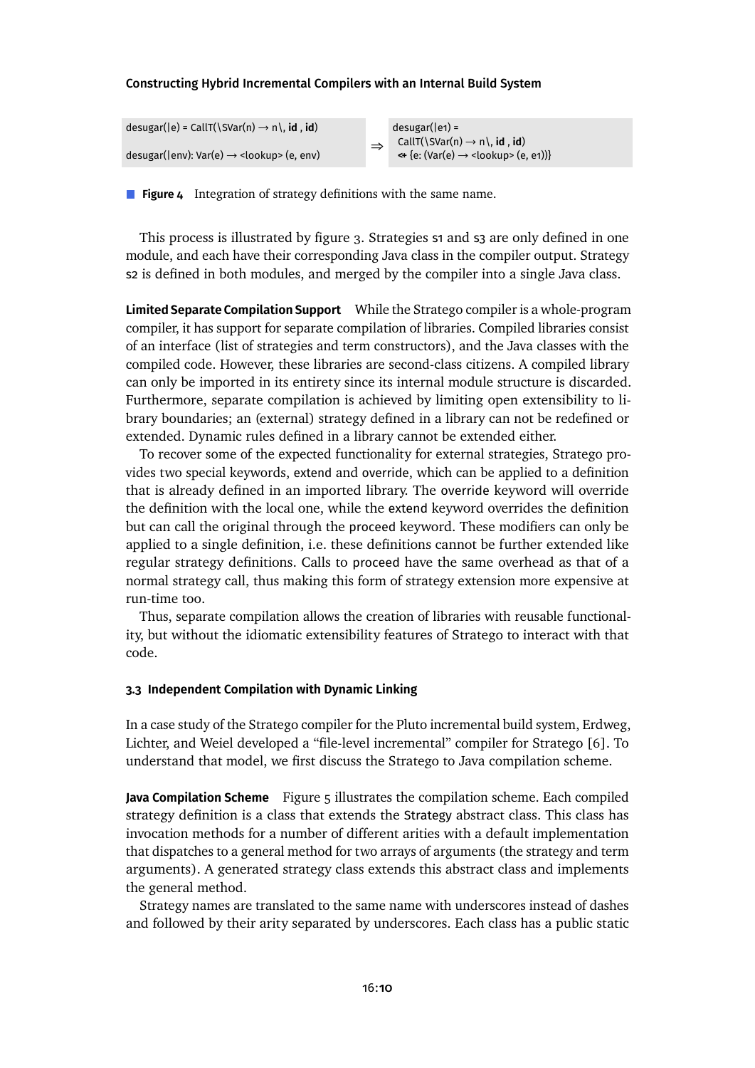<span id="page-9-0"></span>

**Figure 4** Integration of strategy definitions with the same name.

This process is illustrated by [figure 3.](#page-8-0) Strategies 51 and 53 are only defined in one module, and each have their corresponding Java class in the compiler output. Strategy s2 is defined in both modules, and merged by the compiler into a single Java class.

**Limited Separate Compilation Support** While the Stratego compiler is a whole-program compiler, it has support for separate compilation of libraries. Compiled libraries consist of an interface (list of strategies and term constructors), and the Java classes with the compiled code. However, these libraries are second-class citizens. A compiled library can only be imported in its entirety since its internal module structure is discarded. Furthermore, separate compilation is achieved by limiting open extensibility to library boundaries; an (external) strategy defined in a library can not be redefined or extended. Dynamic rules defined in a library cannot be extended either.

To recover some of the expected functionality for external strategies, Stratego provides two special keywords, extend and override, which can be applied to a definition that is already defined in an imported library. The override keyword will override the definition with the local one, while the extend keyword overrides the definition but can call the original through the proceed keyword. These modifiers can only be applied to a single definition, i.e. these definitions cannot be further extended like regular strategy definitions. Calls to proceed have the same overhead as that of a normal strategy call, thus making this form of strategy extension more expensive at run-time too.

Thus, separate compilation allows the creation of libraries with reusable functionality, but without the idiomatic extensibility features of Stratego to interact with that code.

#### **3.3 Independent Compilation with Dynamic Linking**

In a case study of the Stratego compiler for the Pluto incremental build system, Erdweg, Lichter, and Weiel developed a "file-level incremental" compiler for Stratego [\[6\]](#page-24-5). To understand that model, we first discuss the Stratego to Java compilation scheme.

**Java Compilation Scheme** [Figure 5](#page-10-0) illustrates the compilation scheme. Each compiled strategy definition is a class that extends the Strategy abstract class. This class has invocation methods for a number of different arities with a default implementation that dispatches to a general method for two arrays of arguments (the strategy and term arguments). A generated strategy class extends this abstract class and implements the general method.

Strategy names are translated to the same name with underscores instead of dashes and followed by their arity separated by underscores. Each class has a public static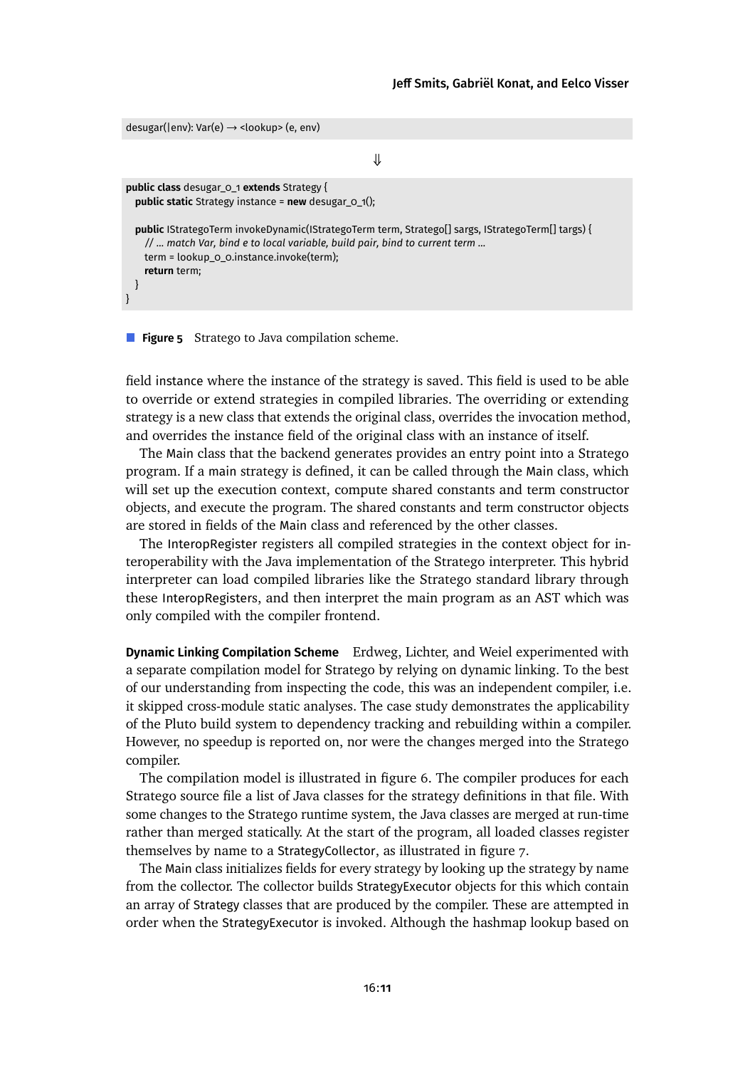```
desugar(|env): Var(e) → <lookup> (e, env)
                                                      ⇓
public class desugar_0_1 extends Strategy {
  public static Strategy instance = new desugar_0_1();
  public IStrategoTerm invokeDynamic(IStrategoTerm term, Stratego[] sargs, IStrategoTerm[] targs) {
    // ... match Var, bind e to local variable, build pair, bind to current term ...
    term = lookup_0_0.instance.invoke(term);
    return term;
 }
}
```
**Figure 5** Stratego to Java compilation scheme.

field instance where the instance of the strategy is saved. This field is used to be able to override or extend strategies in compiled libraries. The overriding or extending strategy is a new class that extends the original class, overrides the invocation method, and overrides the instance field of the original class with an instance of itself.

The Main class that the backend generates provides an entry point into a Stratego program. If a main strategy is defined, it can be called through the Main class, which will set up the execution context, compute shared constants and term constructor objects, and execute the program. The shared constants and term constructor objects are stored in fields of the Main class and referenced by the other classes.

The InteropRegister registers all compiled strategies in the context object for interoperability with the Java implementation of the Stratego interpreter. This hybrid interpreter can load compiled libraries like the Stratego standard library through these InteropRegisters, and then interpret the main program as an AST which was only compiled with the compiler frontend.

**Dynamic Linking Compilation Scheme** Erdweg, Lichter, and Weiel experimented with a separate compilation model for Stratego by relying on dynamic linking. To the best of our understanding from inspecting the code, this was an independent compiler, i.e. it skipped cross-module static analyses. The case study demonstrates the applicability of the Pluto build system to dependency tracking and rebuilding within a compiler. However, no speedup is reported on, nor were the changes merged into the Stratego compiler.

The compilation model is illustrated in [figure 6.](#page-11-0) The compiler produces for each Stratego source file a list of Java classes for the strategy definitions in that file. With some changes to the Stratego runtime system, the Java classes are merged at run-time rather than merged statically. At the start of the program, all loaded classes register themselves by name to a StrategyCollector, as illustrated in [figure 7.](#page-11-1)

The Main class initializes fields for every strategy by looking up the strategy by name from the collector. The collector builds StrategyExecutor objects for this which contain an array of Strategy classes that are produced by the compiler. These are attempted in order when the StrategyExecutor is invoked. Although the hashmap lookup based on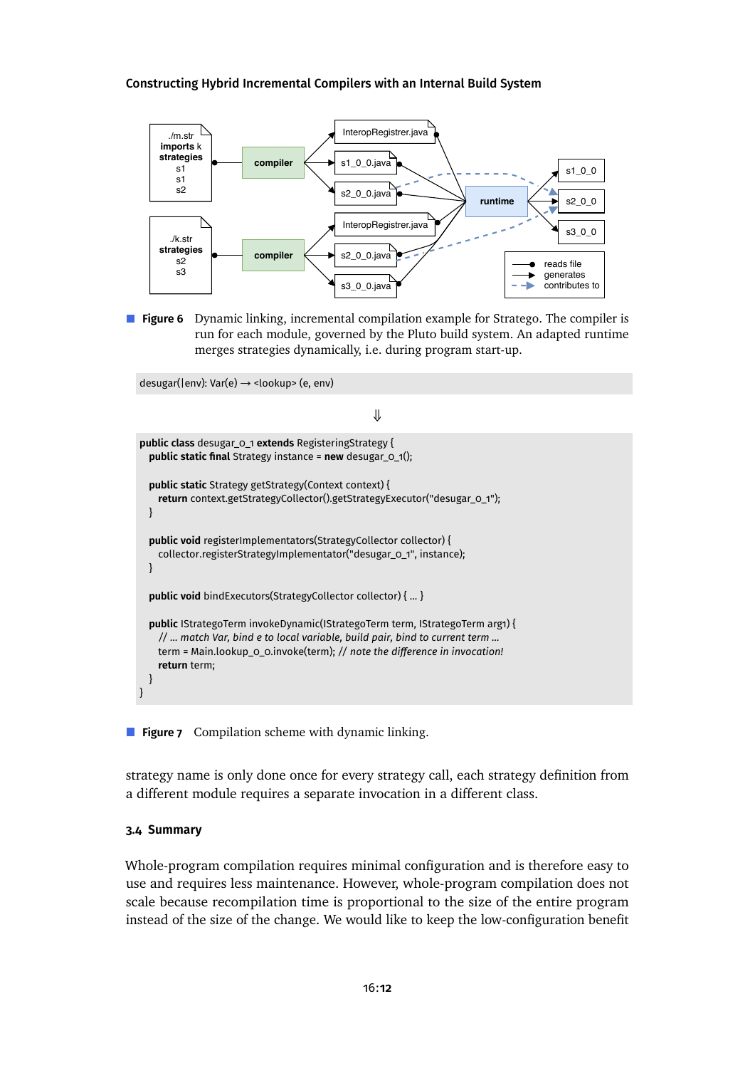<span id="page-11-0"></span>

**Figure 6** Dynamic linking, incremental compilation example for Stratego. The compiler is run for each module, governed by the Pluto build system. An adapted runtime merges strategies dynamically, i.e. during program start-up.

<span id="page-11-1"></span>desugar(|env): Var(e) → <lookup> (e, env)

```
⇓
public class desugar_0_1 extends RegisteringStrategy {
  public static final Strategy instance = new desugar_0_1();
  public static Strategy getStrategy(Context context) {
    return context.getStrategyCollector().getStrategyExecutor("desugar_0_1");
  }
  public void registerImplementators(StrategyCollector collector) {
    collector.registerStrategyImplementator("desugar_0_1", instance);
  }
  public void bindExecutors(StrategyCollector collector) { ... }
  public IStrategoTerm invokeDynamic(IStrategoTerm term, IStrategoTerm arg1) {
    // ... match Var, bind e to local variable, build pair, bind to current term ...
    term = Main.lookup_0_0.invoke(term); // note the difference in invocation!
    return term;
  }
}
```
**Figure 7** Compilation scheme with dynamic linking.

strategy name is only done once for every strategy call, each strategy definition from a different module requires a separate invocation in a different class.

#### **3.4 Summary**

Whole-program compilation requires minimal configuration and is therefore easy to use and requires less maintenance. However, whole-program compilation does not scale because recompilation time is proportional to the size of the entire program instead of the size of the change. We would like to keep the low-configuration benefit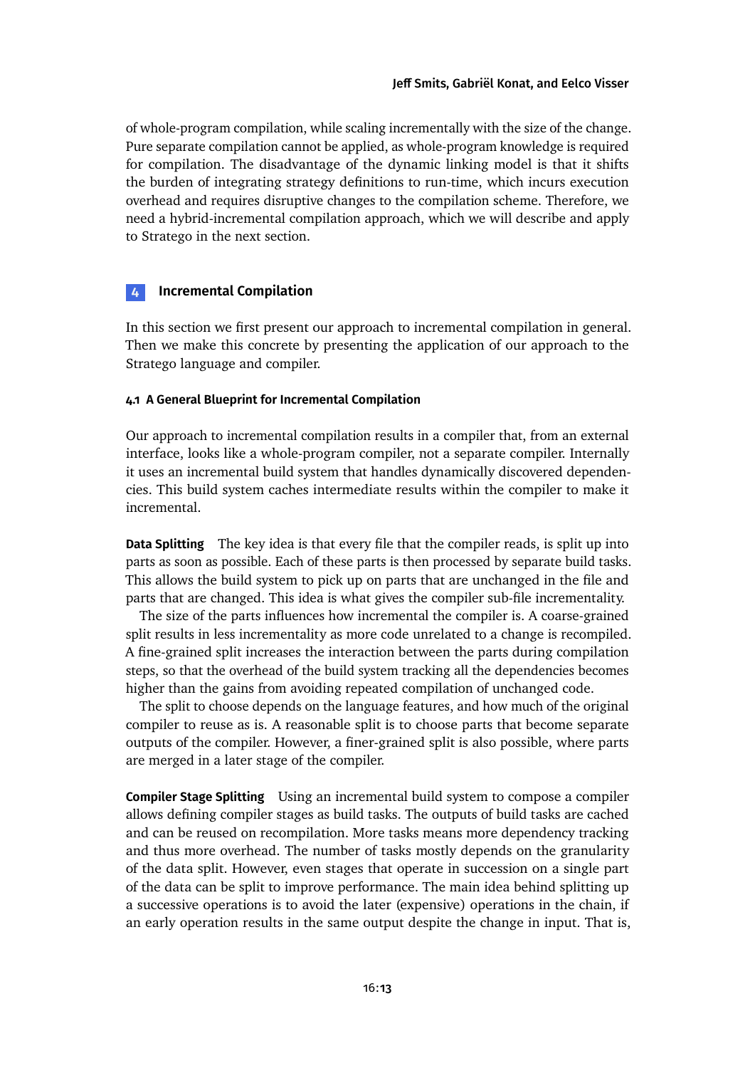of whole-program compilation, while scaling incrementally with the size of the change. Pure separate compilation cannot be applied, as whole-program knowledge is required for compilation. The disadvantage of the dynamic linking model is that it shifts the burden of integrating strategy definitions to run-time, which incurs execution overhead and requires disruptive changes to the compilation scheme. Therefore, we need a hybrid-incremental compilation approach, which we will describe and apply to Stratego in the next section.

## <span id="page-12-0"></span>**4 Incremental Compilation**

In this section we first present our approach to incremental compilation in general. Then we make this concrete by presenting the application of our approach to the Stratego language and compiler.

### **4.1 A General Blueprint for Incremental Compilation**

Our approach to incremental compilation results in a compiler that, from an external interface, looks like a whole-program compiler, not a separate compiler. Internally it uses an incremental build system that handles dynamically discovered dependencies. This build system caches intermediate results within the compiler to make it incremental.

**Data Splitting** The key idea is that every file that the compiler reads, is split up into parts as soon as possible. Each of these parts is then processed by separate build tasks. This allows the build system to pick up on parts that are unchanged in the file and parts that are changed. This idea is what gives the compiler sub-file incrementality.

The size of the parts influences how incremental the compiler is. A coarse-grained split results in less incrementality as more code unrelated to a change is recompiled. A fine-grained split increases the interaction between the parts during compilation steps, so that the overhead of the build system tracking all the dependencies becomes higher than the gains from avoiding repeated compilation of unchanged code.

The split to choose depends on the language features, and how much of the original compiler to reuse as is. A reasonable split is to choose parts that become separate outputs of the compiler. However, a finer-grained split is also possible, where parts are merged in a later stage of the compiler.

**Compiler Stage Splitting** Using an incremental build system to compose a compiler allows defining compiler stages as build tasks. The outputs of build tasks are cached and can be reused on recompilation. More tasks means more dependency tracking and thus more overhead. The number of tasks mostly depends on the granularity of the data split. However, even stages that operate in succession on a single part of the data can be split to improve performance. The main idea behind splitting up a successive operations is to avoid the later (expensive) operations in the chain, if an early operation results in the same output despite the change in input. That is,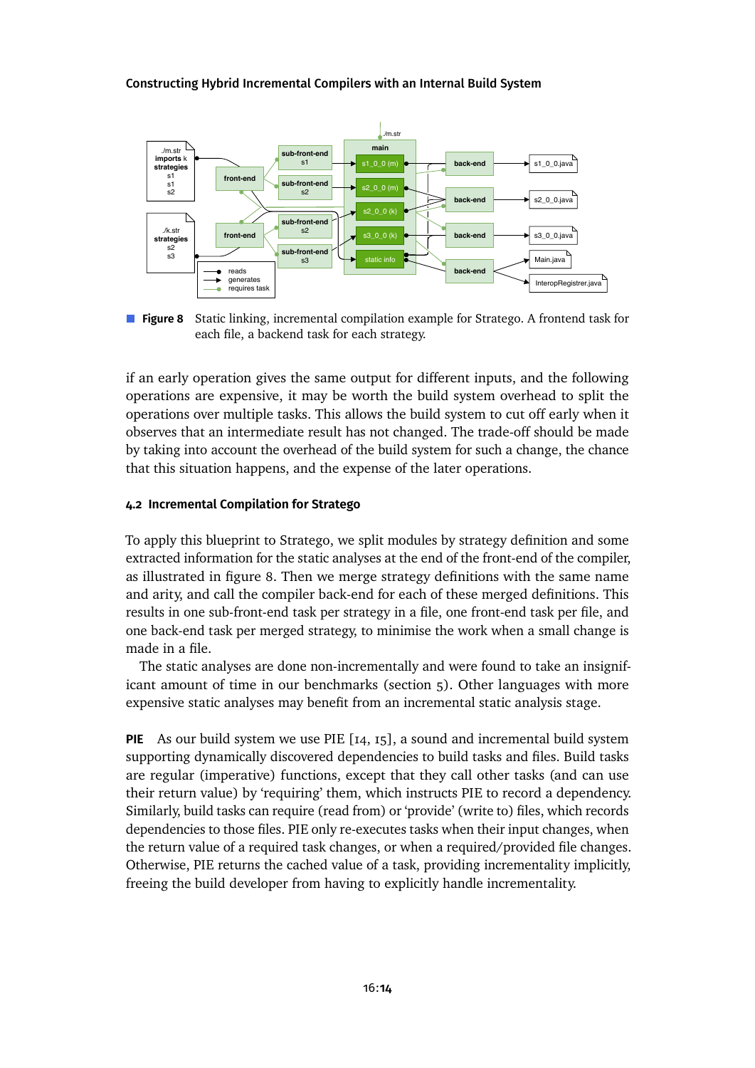<span id="page-13-0"></span>

**Figure 8** Static linking, incremental compilation example for Stratego. A frontend task for each file, a backend task for each strategy.

if an early operation gives the same output for different inputs, and the following operations are expensive, it may be worth the build system overhead to split the operations over multiple tasks. This allows the build system to cut off early when it observes that an intermediate result has not changed. The trade-off should be made by taking into account the overhead of the build system for such a change, the chance that this situation happens, and the expense of the later operations.

#### **4.2 Incremental Compilation for Stratego**

To apply this blueprint to Stratego, we split modules by strategy definition and some extracted information for the static analyses at the end of the front-end of the compiler, as illustrated in [figure 8.](#page-13-0) Then we merge strategy definitions with the same name and arity, and call the compiler back-end for each of these merged definitions. This results in one sub-front-end task per strategy in a file, one front-end task per file, and one back-end task per merged strategy, to minimise the work when a small change is made in a file.

The static analyses are done non-incrementally and were found to take an insignificant amount of time in our benchmarks [\(section 5\)](#page-16-0). Other languages with more expensive static analyses may benefit from an incremental static analysis stage.

**PIE** As our build system we use PIE [\[14,](#page-25-2) [15\]](#page-25-3), a sound and incremental build system supporting dynamically discovered dependencies to build tasks and files. Build tasks are regular (imperative) functions, except that they call other tasks (and can use their return value) by 'requiring' them, which instructs PIE to record a dependency. Similarly, build tasks can require (read from) or 'provide' (write to) files, which records dependencies to those files. PIE only re-executes tasks when their input changes, when the return value of a required task changes, or when a required/provided file changes. Otherwise, PIE returns the cached value of a task, providing incrementality implicitly, freeing the build developer from having to explicitly handle incrementality.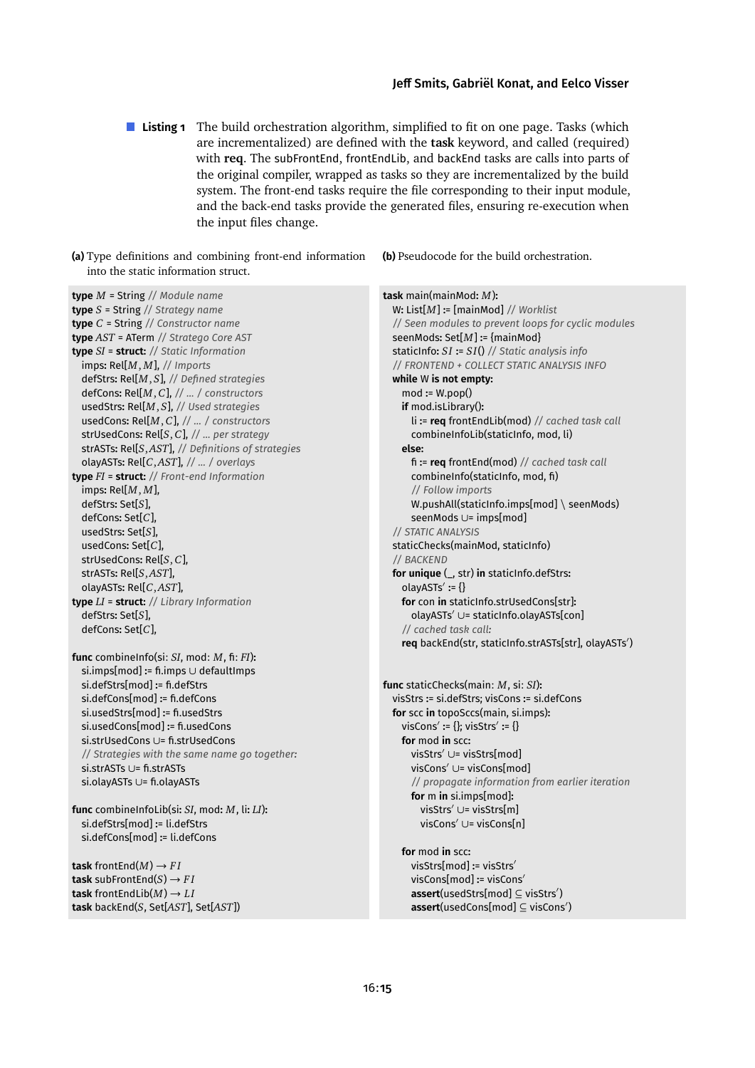- <span id="page-14-0"></span>**Listing 1** The build orchestration algorithm, simplified to fit on one page. Tasks (which are incrementalized) are defined with the **task** keyword, and called (required) with **req**. The subFrontEnd, frontEndLib, and backEnd tasks are calls into parts of the original compiler, wrapped as tasks so they are incrementalized by the build system. The front-end tasks require the file corresponding to their input module, and the back-end tasks provide the generated files, ensuring re-execution when the input files change.
- **(a)** Type definitions and combining front-end information into the static information struct.

**(b)** Pseudocode for the build orchestration.

| <b>type</b> $M$ = String // Module name                                                                                                                                                                                                                                                                                                                                                                                                                              | task main(mainMod: $M$ ):                                                                                                                                                                                                                                                                                                                                                                                                                      |
|----------------------------------------------------------------------------------------------------------------------------------------------------------------------------------------------------------------------------------------------------------------------------------------------------------------------------------------------------------------------------------------------------------------------------------------------------------------------|------------------------------------------------------------------------------------------------------------------------------------------------------------------------------------------------------------------------------------------------------------------------------------------------------------------------------------------------------------------------------------------------------------------------------------------------|
| <b>type</b> $S$ = String // Strategy name                                                                                                                                                                                                                                                                                                                                                                                                                            | W: List $[M]$ := [mainMod] // Worklist                                                                                                                                                                                                                                                                                                                                                                                                         |
| <b>type</b> $C$ = String $//$ Constructor name                                                                                                                                                                                                                                                                                                                                                                                                                       | // Seen modules to prevent loops for cyclic modules                                                                                                                                                                                                                                                                                                                                                                                            |
| type AST = ATerm // Stratego Core AST                                                                                                                                                                                                                                                                                                                                                                                                                                | seenMods: $Set[M]$ := {mainMod}                                                                                                                                                                                                                                                                                                                                                                                                                |
| <b>type</b> $SI$ = <b>struct:</b> // Static Information                                                                                                                                                                                                                                                                                                                                                                                                              | staticInfo: $SI := SI()$ // Static analysis info                                                                                                                                                                                                                                                                                                                                                                                               |
| imps: $Rel[M, M]$ , // Imports                                                                                                                                                                                                                                                                                                                                                                                                                                       | // FRONTEND + COLLECT STATIC ANALYSIS INFO                                                                                                                                                                                                                                                                                                                                                                                                     |
| defStrs: Rel[M, S], // Defined strategies                                                                                                                                                                                                                                                                                                                                                                                                                            | while W is not empty:                                                                                                                                                                                                                                                                                                                                                                                                                          |
| defCons: Rel[ $M, C$ ], //  / constructors                                                                                                                                                                                                                                                                                                                                                                                                                           | $mod := W.pop()$                                                                                                                                                                                                                                                                                                                                                                                                                               |
| usedStrs: Rel[ $M, S$ ], // Used strategies                                                                                                                                                                                                                                                                                                                                                                                                                          | if mod.isLibrary():                                                                                                                                                                                                                                                                                                                                                                                                                            |
| usedCons: Rel[ $M, C$ ], //  / constructors                                                                                                                                                                                                                                                                                                                                                                                                                          | li := $req$ frontEndLib(mod) // cached task call                                                                                                                                                                                                                                                                                                                                                                                               |
| strUsedCons: Rel[ $S, C$ ], //  per strategy                                                                                                                                                                                                                                                                                                                                                                                                                         | combineInfoLib(staticInfo, mod, li)                                                                                                                                                                                                                                                                                                                                                                                                            |
| strASTs: Rel[S,AST], // Definitions of strategies                                                                                                                                                                                                                                                                                                                                                                                                                    | else:                                                                                                                                                                                                                                                                                                                                                                                                                                          |
| olayASTs: Rel[C,AST], //  / overlays                                                                                                                                                                                                                                                                                                                                                                                                                                 | $fi := \text{req}$ frontEnd(mod) // cached task call                                                                                                                                                                                                                                                                                                                                                                                           |
| type FI = struct: // Front-end Information<br>imps: $Rel[M, M]$ ,<br>defStrs: $Set[S]$ ,<br>defCons: $Set[C]$ ,<br>usedStrs: Set[ $S$ ],<br>usedCons: $Set[C]$ ,<br>strUsedCons: Rel[ $S, C$ ],<br>strASTs: Rel[S,AST],<br>olayASTs: Rel[C,AST],<br>type $LI =$ struct: // Library Information<br>defStrs: Set[S],<br>defCons: Set[C]                                                                                                                                | combineInfo(staticInfo, mod, fi)<br>// Follow imports<br>W.pushAll(staticInfo.imps[mod] \ seenMods)<br>seenMods ∪= imps[mod]<br>// STATIC ANALYSIS<br>staticChecks(mainMod, staticInfo)<br>// BACKEND<br>for unique (_, str) in staticInfo.defStrs:<br>olayASTs' := $\{\}$<br>for con in staticInfo.strUsedCons[str]:<br>olayASTs' ∪= staticInfo.olayASTs[con]<br>// cached task call:<br>req backEnd(str, staticInfo.strASTs[str], olayASTs') |
| func combine Info(si: $SI$ , mod: $M$ , fi: $FI$ ):<br>si.imps[mod] := fi.imps ∪ defaultImps<br>si.defStrs[mod] := fi.defStrs<br>si.defCons[mod] := fi.defCons<br>si.usedStrs[mod] := fi.usedStrs<br>si.usedCons[mod] := fi.usedCons<br>si.strUsedCons ∪= fi.strUsedCons<br>// Strategies with the same name go together:<br>si.strASTs ∪= fi.strASTs<br>si.olayASTs ∪= fi.olayASTs<br>func combineInfoLib(si: SI, mod: M, li: LI):<br>si.defStrs[mod] := li.defStrs | func staticChecks(main: M, si: SI):<br>visStrs := si.defStrs; visCons := si.defCons<br>for scc in topoSccs(main, si.imps):<br>visCons' := {}; visStrs' := {}<br>for mod in scc:<br>visStrs $' \cup = \text{visStrs}[\text{mod}]$<br>visCons' $\cup$ = visCons[mod]<br>// propagate information from earlier iteration<br>for m in si.imps[mod]:<br>visStrs $' \cup =$ visStrs $[m]$<br>visCons' $\cup$ = visCons[n]                            |
| si.defCons[mod] := li.defCons                                                                                                                                                                                                                                                                                                                                                                                                                                        | for mod in scc:                                                                                                                                                                                                                                                                                                                                                                                                                                |
| <b>task</b> front End $(M) \rightarrow FI$                                                                                                                                                                                                                                                                                                                                                                                                                           | visStrs[mod] := visStrs'                                                                                                                                                                                                                                                                                                                                                                                                                       |
| task subFrontEnd(S) $\rightarrow FI$                                                                                                                                                                                                                                                                                                                                                                                                                                 | visCons[mod] := visCons'                                                                                                                                                                                                                                                                                                                                                                                                                       |
| task front EndLib $(M) \rightarrow LI$                                                                                                                                                                                                                                                                                                                                                                                                                               | $assert(usedStrs[mod] \subseteq visStrs')$                                                                                                                                                                                                                                                                                                                                                                                                     |
| task backEnd(S, Set[AST], Set[AST])                                                                                                                                                                                                                                                                                                                                                                                                                                  | $assert(usedCons(mod] \subseteq viscons')$                                                                                                                                                                                                                                                                                                                                                                                                     |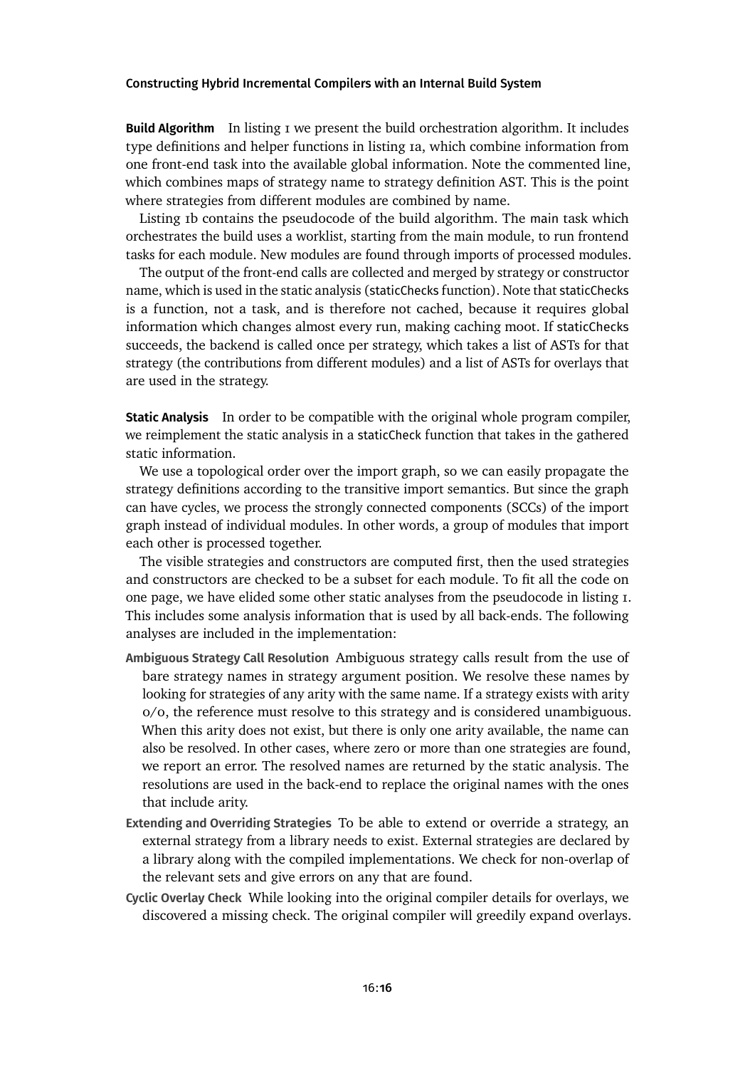**Build Algorithm** In [listing 1](#page-14-0) we present the build orchestration algorithm. It includes type definitions and helper functionsin [listing 1a,](#page-14-0) which combine information from one front-end task into the available global information. Note the commented line, which combines maps of strategy name to strategy definition AST. This is the point where strategies from different modules are combined by name.

[Listing 1b](#page-14-0) contains the pseudocode of the build algorithm. The main task which orchestrates the build uses a worklist, starting from the main module, to run frontend tasks for each module. New modules are found through imports of processed modules.

The output of the front-end calls are collected and merged by strategy or constructor name, which is used in the static analysis (staticChecks function). Note that staticChecks is a function, not a task, and is therefore not cached, because it requires global information which changes almost every run, making caching moot. If staticChecks succeeds, the backend is called once per strategy, which takes a list of ASTs for that strategy (the contributions from different modules) and a list of ASTs for overlays that are used in the strategy.

**Static Analysis** In order to be compatible with the original whole program compiler, we reimplement the static analysis in a staticCheck function that takes in the gathered static information.

We use a topological order over the import graph, so we can easily propagate the strategy definitions according to the transitive import semantics. But since the graph can have cycles, we process the strongly connected components (SCCs) of the import graph instead of individual modules. In other words, a group of modules that import each other is processed together.

The visible strategies and constructors are computed first, then the used strategies and constructors are checked to be a subset for each module. To fit all the code on one page, we have elided some other static analyses from the pseudocode in [listing 1.](#page-14-0) This includes some analysis information that is used by all back-ends. The following analyses are included in the implementation:

- **Ambiguous Strategy Call Resolution** Ambiguous strategy calls result from the use of bare strategy names in strategy argument position. We resolve these names by looking for strategies of any arity with the same name. If a strategy exists with arity 0/0, the reference must resolve to this strategy and is considered unambiguous. When this arity does not exist, but there is only one arity available, the name can also be resolved. In other cases, where zero or more than one strategies are found, we report an error. The resolved names are returned by the static analysis. The resolutions are used in the back-end to replace the original names with the ones that include arity.
- **Extending and Overriding Strategies** To be able to extend or override a strategy, an external strategy from a library needs to exist. External strategies are declared by a library along with the compiled implementations. We check for non-overlap of the relevant sets and give errors on any that are found.
- **Cyclic Overlay Check** While looking into the original compiler details for overlays, we discovered a missing check. The original compiler will greedily expand overlays.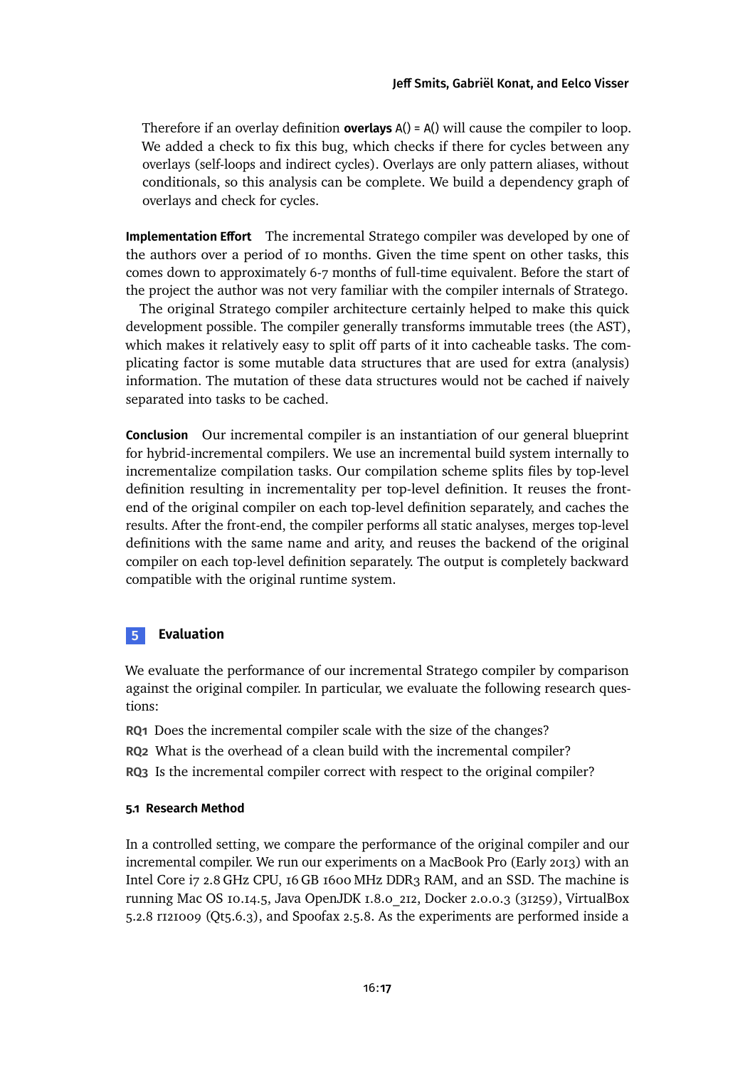Therefore if an overlay definition **overlays** A() = A() will cause the compiler to loop. We added a check to fix this bug, which checks if there for cycles between any overlays (self-loops and indirect cycles). Overlays are only pattern aliases, without conditionals, so this analysis can be complete. We build a dependency graph of overlays and check for cycles.

**Implementation Effort** The incremental Stratego compiler was developed by one of the authors over a period of 10 months. Given the time spent on other tasks, this comes down to approximately 6-7 months of full-time equivalent. Before the start of the project the author was not very familiar with the compiler internals of Stratego.

The original Stratego compiler architecture certainly helped to make this quick development possible. The compiler generally transforms immutable trees (the AST), which makes it relatively easy to split off parts of it into cacheable tasks. The complicating factor is some mutable data structures that are used for extra (analysis) information. The mutation of these data structures would not be cached if naively separated into tasks to be cached.

**Conclusion** Our incremental compiler is an instantiation of our general blueprint for hybrid-incremental compilers. We use an incremental build system internally to incrementalize compilation tasks. Our compilation scheme splits files by top-level definition resulting in incrementality per top-level definition. It reuses the frontend of the original compiler on each top-level definition separately, and caches the results. After the front-end, the compiler performs all static analyses, merges top-level definitions with the same name and arity, and reuses the backend of the original compiler on each top-level definition separately. The output is completely backward compatible with the original runtime system.

## <span id="page-16-0"></span>**5 Evaluation**

We evaluate the performance of our incremental Stratego compiler by comparison against the original compiler. In particular, we evaluate the following research questions:

**RQ1** Does the incremental compiler scale with the size of the changes? **RQ2** What is the overhead of a clean build with the incremental compiler? **RQ3** Is the incremental compiler correct with respect to the original compiler?

#### **5.1 Research Method**

In a controlled setting, we compare the performance of the original compiler and our incremental compiler. We run our experiments on a MacBook Pro (Early 2013) with an Intel Core i7 2.8 GHz CPU, 16 GB 1600 MHz DDR3 RAM, and an SSD. The machine is running Mac OS 10.14.5, Java OpenJDK 1.8.0\_212, Docker 2.0.0.3 (31259), VirtualBox 5.2.8 r121009 (Qt5.6.3), and Spoofax 2.5.8. As the experiments are performed inside a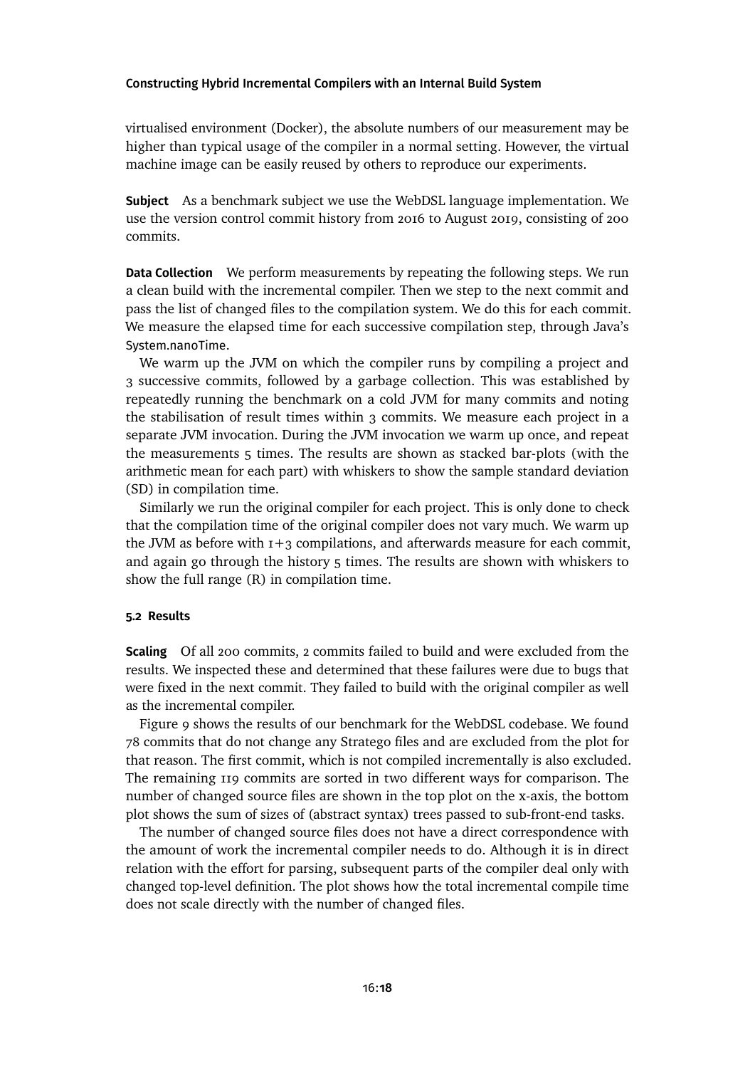virtualised environment (Docker), the absolute numbers of our measurement may be higher than typical usage of the compiler in a normal setting. However, the virtual machine image can be easily reused by others to reproduce our experiments.

**Subject** As a benchmark subject we use the WebDSL language implementation. We use the version control commit history from 2016 to August 2019, consisting of 200 commits.

**Data Collection** We perform measurements by repeating the following steps. We run a clean build with the incremental compiler. Then we step to the next commit and pass the list of changed files to the compilation system. We do this for each commit. We measure the elapsed time for each successive compilation step, through Java's System.nanoTime.

We warm up the JVM on which the compiler runs by compiling a project and 3 successive commits, followed by a garbage collection. This was established by repeatedly running the benchmark on a cold JVM for many commits and noting the stabilisation of result times within 3 commits. We measure each project in a separate JVM invocation. During the JVM invocation we warm up once, and repeat the measurements 5 times. The results are shown as stacked bar-plots (with the arithmetic mean for each part) with whiskers to show the sample standard deviation (SD) in compilation time.

Similarly we run the original compiler for each project. This is only done to check that the compilation time of the original compiler does not vary much. We warm up the JVM as before with  $1+3$  compilations, and afterwards measure for each commit, and again go through the history 5 times. The results are shown with whiskers to show the full range (R) in compilation time.

## **5.2 Results**

**Scaling** Of all 200 commits, 2 commits failed to build and were excluded from the results. We inspected these and determined that these failures were due to bugs that were fixed in the next commit. They failed to build with the original compiler as well as the incremental compiler.

[Figure 9](#page-18-0) shows the results of our benchmark for the WebDSL codebase. We found 78 commits that do not change any Stratego files and are excluded from the plot for that reason. The first commit, which is not compiled incrementally is also excluded. The remaining 119 commits are sorted in two different ways for comparison. The number of changed source files are shown in the top plot on the x-axis, the bottom plot shows the sum of sizes of (abstract syntax) trees passed to sub-front-end tasks.

The number of changed source files does not have a direct correspondence with the amount of work the incremental compiler needs to do. Although it is in direct relation with the effort for parsing, subsequent parts of the compiler deal only with changed top-level definition. The plot shows how the total incremental compile time does not scale directly with the number of changed files.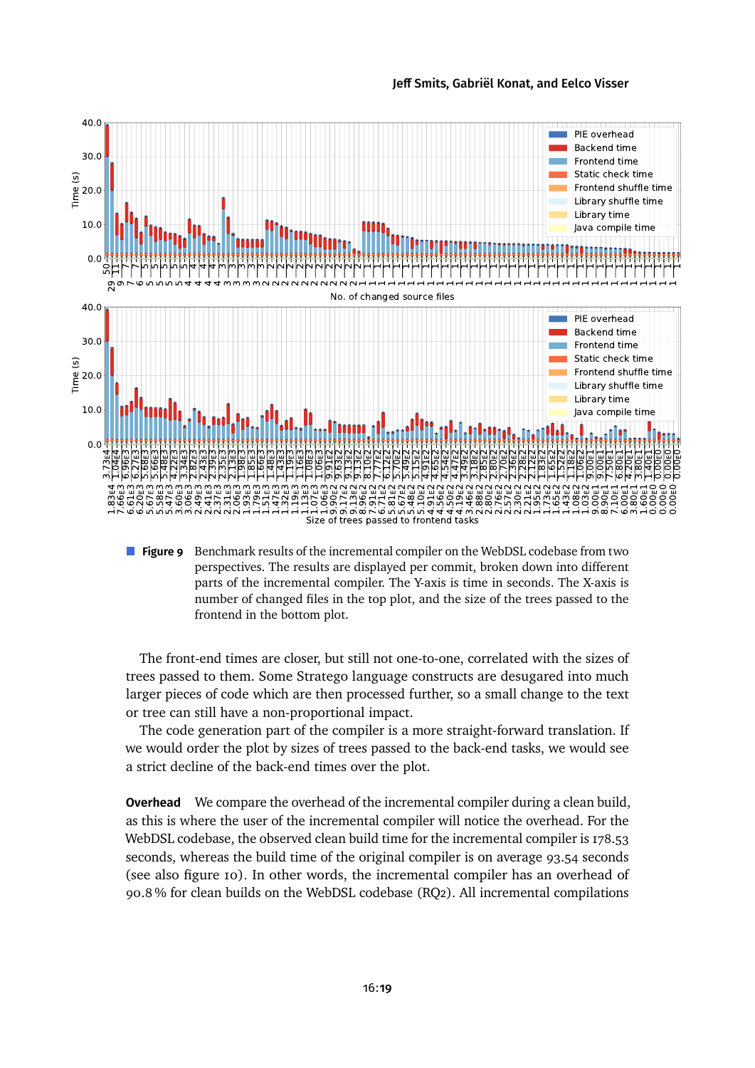[Jeff Smits,](#page-28-0) [Gabriël Konat,](#page-28-1) and [Eelco Visser](#page-28-2)

<span id="page-18-0"></span>

**Figure 9** Benchmark results of the incremental compiler on the WebDSL codebase from two perspectives. The results are displayed per commit, broken down into different parts of the incremental compiler. The Y-axis is time in seconds. The X-axis is number of changed files in the top plot, and the size of the trees passed to the frontend in the bottom plot.

The front-end times are closer, but still not one-to-one, correlated with the sizes of trees passed to them. Some Stratego language constructs are desugared into much larger pieces of code which are then processed further, so a small change to the text or tree can still have a non-proportional impact.

The code generation part of the compiler is a more straight-forward translation. If we would order the plot by sizes of trees passed to the back-end tasks, we would see a strict decline of the back-end times over the plot.

**Overhead** We compare the overhead of the incremental compiler during a clean build, as this is where the user of the incremental compiler will notice the overhead. For the WebDSL codebase, the observed clean build time for the incremental compiler is 178.53 seconds, whereas the build time of the original compiler is on average 93.54 seconds (see also [figure 10\)](#page-19-0). In other words, the incremental compiler has an overhead of 90.8 % for clean builds on the WebDSL codebase (RQ2). All incremental compilations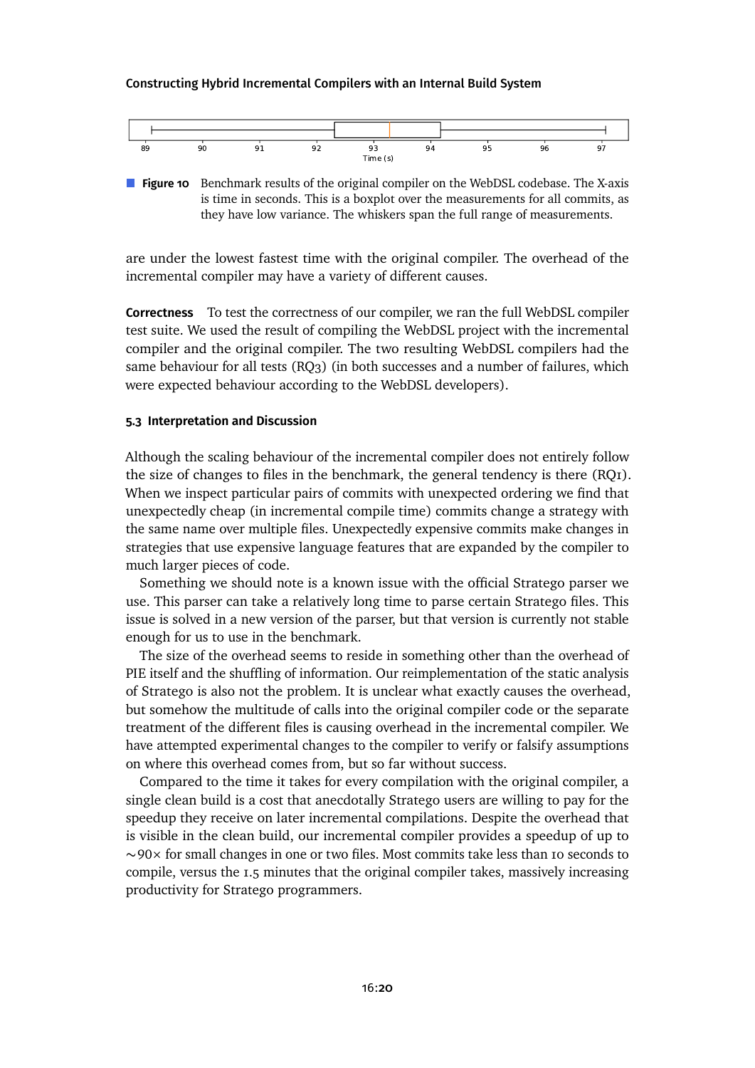<span id="page-19-0"></span>

**Figure 10** Benchmark results of the original compiler on the WebDSL codebase. The X-axis is time in seconds. This is a boxplot over the measurements for all commits, as they have low variance. The whiskers span the full range of measurements.

are under the lowest fastest time with the original compiler. The overhead of the incremental compiler may have a variety of different causes.

**Correctness** To test the correctness of our compiler, we ran the full WebDSL compiler test suite. We used the result of compiling the WebDSL project with the incremental compiler and the original compiler. The two resulting WebDSL compilers had the same behaviour for all tests (RQ3) (in both successes and a number of failures, which were expected behaviour according to the WebDSL developers).

#### **5.3 Interpretation and Discussion**

Although the scaling behaviour of the incremental compiler does not entirely follow the size of changes to files in the benchmark, the general tendency is there (RQ1). When we inspect particular pairs of commits with unexpected ordering we find that unexpectedly cheap (in incremental compile time) commits change a strategy with the same name over multiple files. Unexpectedly expensive commits make changes in strategies that use expensive language features that are expanded by the compiler to much larger pieces of code.

Something we should note is a known issue with the official Stratego parser we use. This parser can take a relatively long time to parse certain Stratego files. This issue is solved in a new version of the parser, but that version is currently not stable enough for us to use in the benchmark.

The size of the overhead seems to reside in something other than the overhead of PIE itself and the shuffling of information. Our reimplementation of the static analysis of Stratego is also not the problem. It is unclear what exactly causes the overhead, but somehow the multitude of calls into the original compiler code or the separate treatment of the different files is causing overhead in the incremental compiler. We have attempted experimental changes to the compiler to verify or falsify assumptions on where this overhead comes from, but so far without success.

Compared to the time it takes for every compilation with the original compiler, a single clean build is a cost that anecdotally Stratego users are willing to pay for the speedup they receive on later incremental compilations. Despite the overhead that is visible in the clean build, our incremental compiler provides a speedup of up to ∼90× for small changes in one or two files. Most commits take less than 10 seconds to compile, versus the 1.5 minutes that the original compiler takes, massively increasing productivity for Stratego programmers.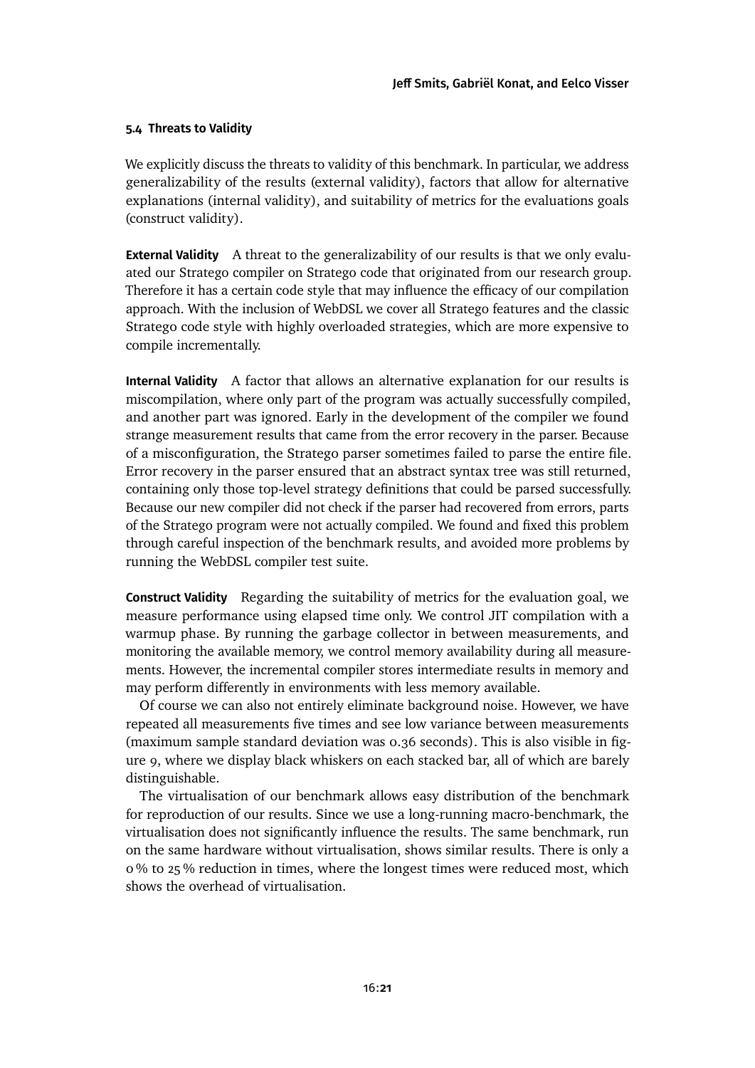## **5.4 Threats to Validity**

We explicitly discuss the threats to validity of this benchmark. In particular, we address generalizability of the results (external validity), factors that allow for alternative explanations (internal validity), and suitability of metrics for the evaluations goals (construct validity).

**External Validity** A threat to the generalizability of our results is that we only evaluated our Stratego compiler on Stratego code that originated from our research group. Therefore it has a certain code style that may influence the efficacy of our compilation approach. With the inclusion of WebDSL we cover all Stratego features and the classic Stratego code style with highly overloaded strategies, which are more expensive to compile incrementally.

**Internal Validity** A factor that allows an alternative explanation for our results is miscompilation, where only part of the program was actually successfully compiled, and another part was ignored. Early in the development of the compiler we found strange measurement results that came from the error recovery in the parser. Because of a misconfiguration, the Stratego parser sometimes failed to parse the entire file. Error recovery in the parser ensured that an abstract syntax tree was still returned, containing only those top-level strategy definitions that could be parsed successfully. Because our new compiler did not check if the parser had recovered from errors, parts of the Stratego program were not actually compiled. We found and fixed this problem through careful inspection of the benchmark results, and avoided more problems by running the WebDSL compiler test suite.

**Construct Validity** Regarding the suitability of metrics for the evaluation goal, we measure performance using elapsed time only. We control JIT compilation with a warmup phase. By running the garbage collector in between measurements, and monitoring the available memory, we control memory availability during all measurements. However, the incremental compiler stores intermediate results in memory and may perform differently in environments with less memory available.

Of course we can also not entirely eliminate background noise. However, we have repeated all measurements five times and see low variance between measurements (maximum sample standard deviation was 0.36 seconds). This is also visible in [fig](#page-18-0)[ure 9,](#page-18-0) where we display black whiskers on each stacked bar, all of which are barely distinguishable.

The virtualisation of our benchmark allows easy distribution of the benchmark for reproduction of our results. Since we use a long-running macro-benchmark, the virtualisation does not significantly influence the results. The same benchmark, run on the same hardware without virtualisation, shows similar results. There is only a 0 % to 25 % reduction in times, where the longest times were reduced most, which shows the overhead of virtualisation.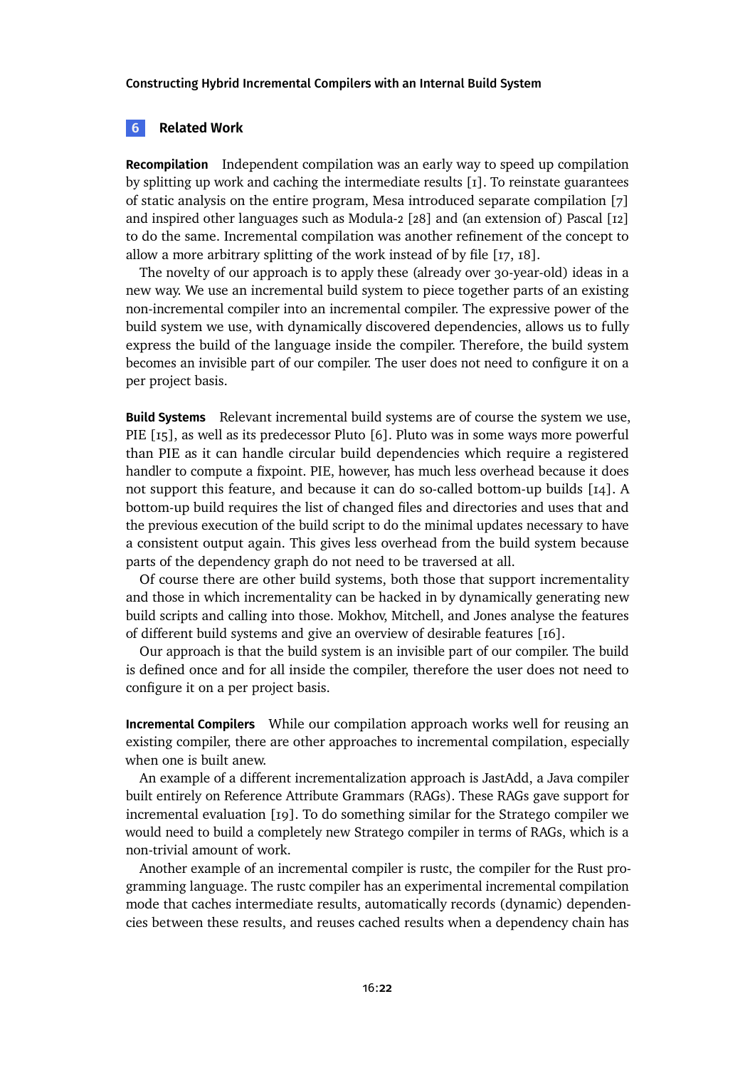#### <span id="page-21-0"></span>**6 Related Work**

**Recompilation** Independent compilation was an early way to speed up compilation by splitting up work and caching the intermediate results [\[1\]](#page-23-0). To reinstate guarantees of static analysis on the entire program, Mesa introduced separate compilation [\[7\]](#page-24-0) and inspired other languages such as Modula-2 [\[28\]](#page-26-4) and (an extension of) Pascal [\[12\]](#page-25-4) to do the same. Incremental compilation was another refinement of the concept to allow a more arbitrary splitting of the work instead of by file [\[17,](#page-25-0) [18\]](#page-25-1).

The novelty of our approach is to apply these (already over 30-year-old) ideas in a new way. We use an incremental build system to piece together parts of an existing non-incremental compiler into an incremental compiler. The expressive power of the build system we use, with dynamically discovered dependencies, allows us to fully express the build of the language inside the compiler. Therefore, the build system becomes an invisible part of our compiler. The user does not need to configure it on a per project basis.

**Build Systems** Relevant incremental build systems are of course the system we use, PIE [\[15\]](#page-25-3), as well as its predecessor Pluto [\[6\]](#page-24-5). Pluto was in some ways more powerful than PIE as it can handle circular build dependencies which require a registered handler to compute a fixpoint. PIE, however, has much less overhead because it does not support this feature, and because it can do so-called bottom-up builds [\[14\]](#page-25-2). A bottom-up build requires the list of changed files and directories and uses that and the previous execution of the build script to do the minimal updates necessary to have a consistent output again. This gives less overhead from the build system because parts of the dependency graph do not need to be traversed at all.

Of course there are other build systems, both those that support incrementality and those in which incrementality can be hacked in by dynamically generating new build scripts and calling into those. Mokhov, Mitchell, and Jones analyse the features of different build systems and give an overview of desirable features [\[16\]](#page-25-5).

Our approach is that the build system is an invisible part of our compiler. The build is defined once and for all inside the compiler, therefore the user does not need to configure it on a per project basis.

**Incremental Compilers** While our compilation approach works well for reusing an existing compiler, there are other approaches to incremental compilation, especially when one is built anew.

An example of a different incrementalization approach is JastAdd, a Java compiler built entirely on Reference Attribute Grammars (RAGs). These RAGs gave support for incremental evaluation [\[19\]](#page-25-6). To do something similar for the Stratego compiler we would need to build a completely new Stratego compiler in terms of RAGs, which is a non-trivial amount of work.

Another example of an incremental compiler is rustc, the compiler for the Rust programming language. The rustc compiler has an experimental incremental compilation mode that caches intermediate results, automatically records (dynamic) dependencies between these results, and reuses cached results when a dependency chain has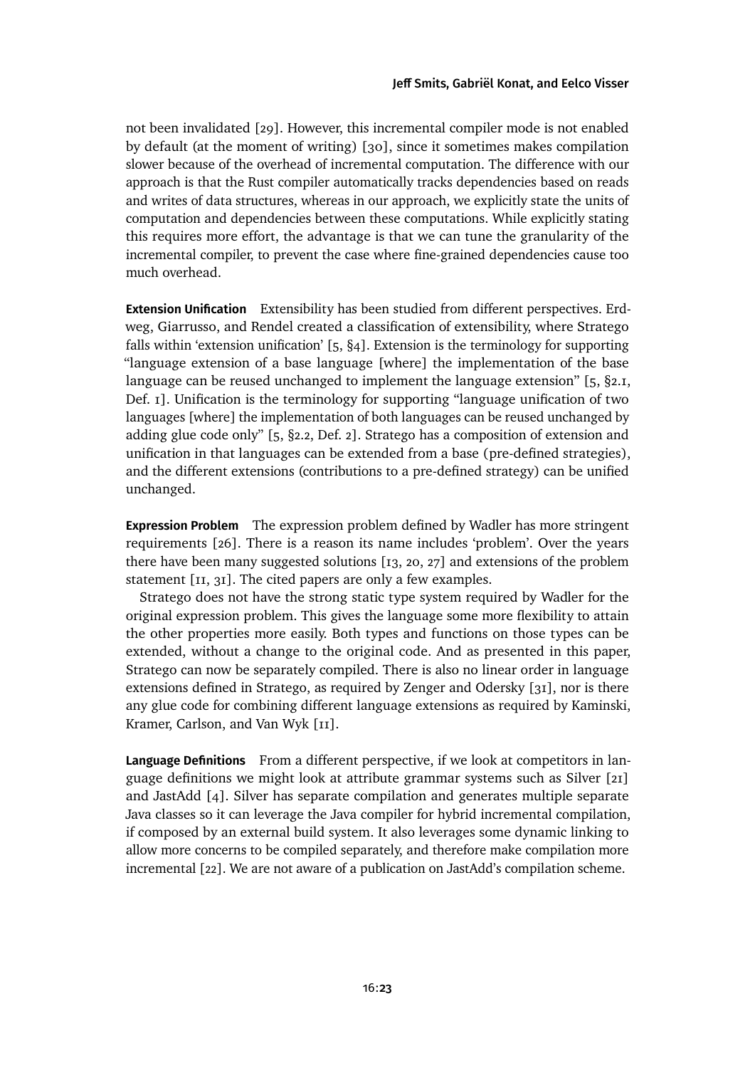not been invalidated [\[29\]](#page-26-5). However, this incremental compiler mode is not enabled by default (at the moment of writing) [\[30\]](#page-26-6), since it sometimes makes compilation slower because of the overhead of incremental computation. The difference with our approach is that the Rust compiler automatically tracks dependencies based on reads and writes of data structures, whereas in our approach, we explicitly state the units of computation and dependencies between these computations. While explicitly stating this requires more effort, the advantage is that we can tune the granularity of the incremental compiler, to prevent the case where fine-grained dependencies cause too much overhead.

**Extension Unification** Extensibility has been studied from different perspectives. Erdweg, Giarrusso, and Rendel created a classification of extensibility, where Stratego falls within 'extension unification' [\[5,](#page-24-6) §4]. Extension is the terminology for supporting "language extension of a base language [where] the implementation of the base language can be reused unchanged to implement the language extension" [\[5,](#page-24-6) §2.1, Def. 1]. Unification is the terminology for supporting "language unification of two languages [where] the implementation of both languages can be reused unchanged by adding glue code only" [\[5,](#page-24-6) §2.2, Def. 2]. Stratego has a composition of extension and unification in that languages can be extended from a base (pre-defined strategies), and the different extensions (contributions to a pre-defined strategy) can be unified unchanged.

**Expression Problem** The expression problem defined by Wadler has more stringent requirements [\[26\]](#page-26-0). There is a reason its name includes 'problem'. Over the years there have been many suggested solutions [\[13,](#page-25-7) [20,](#page-26-7) [27\]](#page-26-8) and extensions of the problem statement [\[11,](#page-25-8) [31\]](#page-27-0). The cited papers are only a few examples.

Stratego does not have the strong static type system required by Wadler for the original expression problem. This gives the language some more flexibility to attain the other properties more easily. Both types and functions on those types can be extended, without a change to the original code. And as presented in this paper, Stratego can now be separately compiled. There is also no linear order in language extensions defined in Stratego, as required by Zenger and Odersky [\[31\]](#page-27-0), nor is there any glue code for combining different language extensions as required by Kaminski, Kramer, Carlson, and Van Wyk [\[11\]](#page-25-8).

**Language Definitions** From a different perspective, if we look at competitors in language definitions we might look at attribute grammar systems such as Silver [\[21\]](#page-26-9) and JastAdd [\[4\]](#page-24-7). Silver has separate compilation and generates multiple separate Java classes so it can leverage the Java compiler for hybrid incremental compilation, if composed by an external build system. It also leverages some dynamic linking to allow more concerns to be compiled separately, and therefore make compilation more incremental [\[22\]](#page-26-10). We are not aware of a publication on JastAdd's compilation scheme.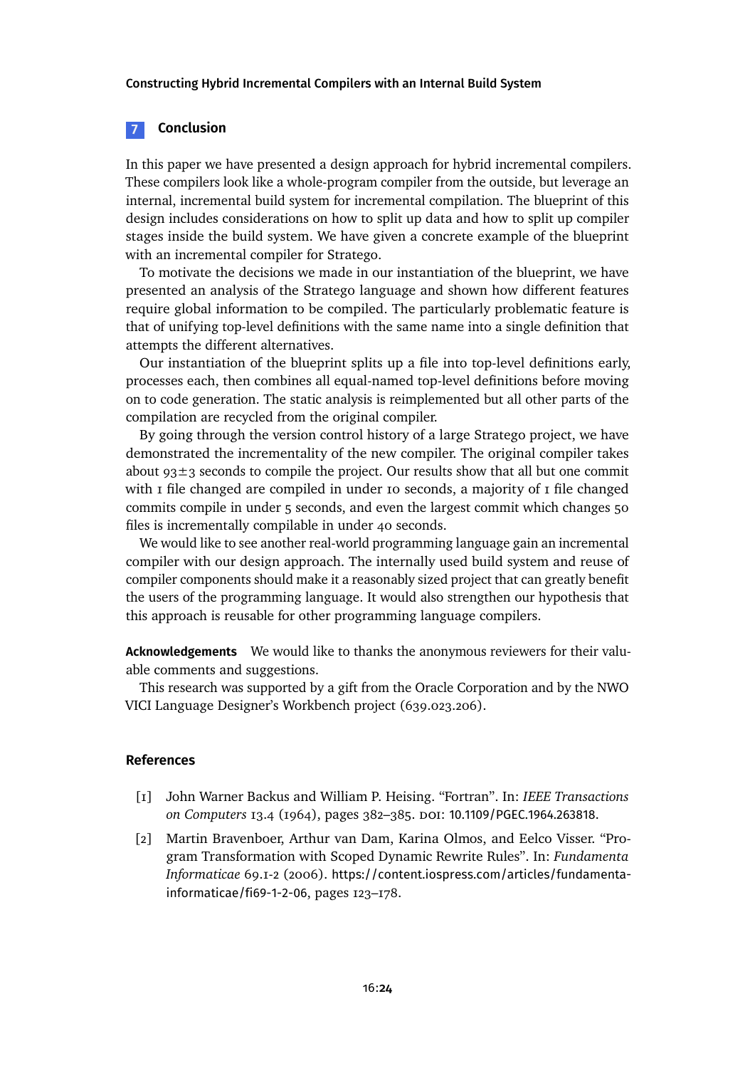#### **7 Conclusion**

In this paper we have presented a design approach for hybrid incremental compilers. These compilers look like a whole-program compiler from the outside, but leverage an internal, incremental build system for incremental compilation. The blueprint of this design includes considerations on how to split up data and how to split up compiler stages inside the build system. We have given a concrete example of the blueprint with an incremental compiler for Stratego.

To motivate the decisions we made in our instantiation of the blueprint, we have presented an analysis of the Stratego language and shown how different features require global information to be compiled. The particularly problematic feature is that of unifying top-level definitions with the same name into a single definition that attempts the different alternatives.

Our instantiation of the blueprint splits up a file into top-level definitions early, processes each, then combines all equal-named top-level definitions before moving on to code generation. The static analysis is reimplemented but all other parts of the compilation are recycled from the original compiler.

By going through the version control history of a large Stratego project, we have demonstrated the incrementality of the new compiler. The original compiler takes about  $93\pm3$  seconds to compile the project. Our results show that all but one commit with  $\bar{I}$  file changed are compiled in under 10 seconds, a majority of  $\bar{I}$  file changed commits compile in under 5 seconds, and even the largest commit which changes 50 files is incrementally compilable in under 40 seconds.

We would like to see another real-world programming language gain an incremental compiler with our design approach. The internally used build system and reuse of compiler components should make it a reasonably sized project that can greatly benefit the users of the programming language. It would also strengthen our hypothesis that this approach is reusable for other programming language compilers.

**Acknowledgements** We would like to thanks the anonymous reviewers for their valuable comments and suggestions.

This research was supported by a gift from the Oracle Corporation and by the NWO VICI Language Designer's Workbench project (639.023.206).

#### **References**

- <span id="page-23-0"></span>[1] John Warner Backus and William P. Heising. "Fortran". In: *IEEE Transactions on Computers* 13.4 (1964), pages 382–385. doi: [10.1109/PGEC.1964.263818](https://doi.org/10.1109/PGEC.1964.263818).
- <span id="page-23-1"></span>[2] Martin Bravenboer, Arthur van Dam, Karina Olmos, and Eelco Visser. "Program Transformation with Scoped Dynamic Rewrite Rules". In: *Fundamenta Informaticae* 69.1-2 (2006). [https://content.iospress.com/articles/fundamenta](https://content.iospress.com/articles/fundamenta-informaticae/fi69-1-2-06)[informaticae/fi69-1-2-06](https://content.iospress.com/articles/fundamenta-informaticae/fi69-1-2-06), pages 123–178.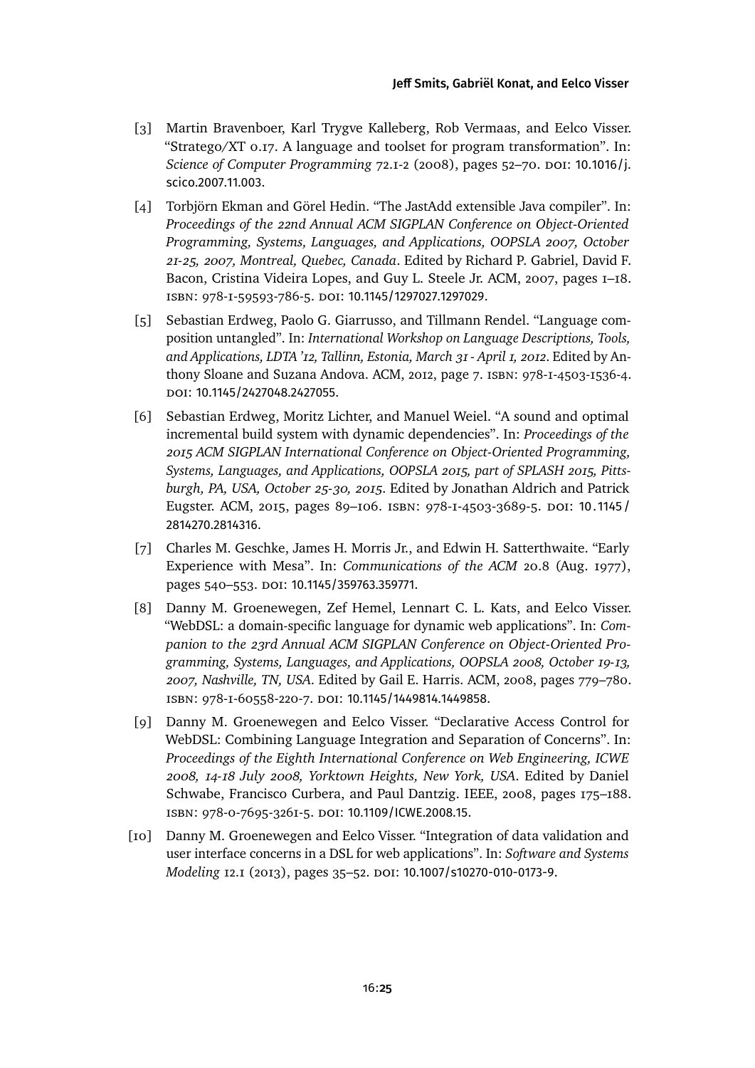- <span id="page-24-1"></span>[3] Martin Bravenboer, Karl Trygve Kalleberg, Rob Vermaas, and Eelco Visser. "Stratego/XT 0.17. A language and toolset for program transformation". In: *Science of Computer Programming* 72.1-2 (2008), pages 52–70. DOI: [10.1016/j.](https://doi.org/10.1016/j.scico.2007.11.003) [scico.2007.11.003](https://doi.org/10.1016/j.scico.2007.11.003).
- <span id="page-24-7"></span>[4] Torbjörn Ekman and Görel Hedin. "The JastAdd extensible Java compiler". In: *Proceedings of the 22nd Annual ACM SIGPLAN Conference on Object-Oriented Programming, Systems, Languages, and Applications, OOPSLA 2007, October 21-25, 2007, Montreal, Quebec, Canada*. Edited by Richard P. Gabriel, David F. Bacon, Cristina Videira Lopes, and Guy L. Steele Jr. ACM, 2007, pages 1–18. isbn: 978-1-59593-786-5. doi: [10.1145/1297027.1297029](https://doi.org/10.1145/1297027.1297029).
- <span id="page-24-6"></span>[5] Sebastian Erdweg, Paolo G. Giarrusso, and Tillmann Rendel. "Language composition untangled". In: *International Workshop on Language Descriptions, Tools, and Applications, LDTA '12, Tallinn, Estonia, March 31 - April 1, 2012*. Edited by Anthony Sloane and Suzana Andova. ACM, 2012, page 7. isbn: 978-1-4503-1536-4. doi: [10.1145/2427048.2427055](https://doi.org/10.1145/2427048.2427055).
- <span id="page-24-5"></span>[6] Sebastian Erdweg, Moritz Lichter, and Manuel Weiel. "A sound and optimal incremental build system with dynamic dependencies". In: *Proceedings of the 2015 ACM SIGPLAN International Conference on Object-Oriented Programming, Systems, Languages, and Applications, OOPSLA 2015, part of SPLASH 2015, Pittsburgh, PA, USA, October 25-30, 2015*. Edited by Jonathan Aldrich and Patrick Eugster. ACM, 2015, pages 89–106. isbn: 978-1-4503-3689-5. doi: [10. 1145 /](https://doi.org/10.1145/2814270.2814316) [2814270.2814316](https://doi.org/10.1145/2814270.2814316).
- <span id="page-24-0"></span>[7] Charles M. Geschke, James H. Morris Jr., and Edwin H. Satterthwaite. "Early Experience with Mesa". In: *Communications of the ACM* 20.8 (Aug. 1977), pages 540–553. doi: [10.1145/359763.359771](https://doi.org/10.1145/359763.359771).
- <span id="page-24-2"></span>[8] Danny M. Groenewegen, Zef Hemel, Lennart C. L. Kats, and Eelco Visser. "WebDSL: a domain-specific language for dynamic web applications". In: *Companion to the 23rd Annual ACM SIGPLAN Conference on Object-Oriented Programming, Systems, Languages, and Applications, OOPSLA 2008, October 19-13, 2007, Nashville, TN, USA*. Edited by Gail E. Harris. ACM, 2008, pages 779–780. isbn: 978-1-60558-220-7. doi: [10.1145/1449814.1449858](https://doi.org/10.1145/1449814.1449858).
- <span id="page-24-4"></span>[9] Danny M. Groenewegen and Eelco Visser. "Declarative Access Control for WebDSL: Combining Language Integration and Separation of Concerns". In: *Proceedings of the Eighth International Conference on Web Engineering, ICWE 2008, 14-18 July 2008, Yorktown Heights, New York, USA*. Edited by Daniel Schwabe, Francisco Curbera, and Paul Dantzig. IEEE, 2008, pages 175–188. isbn: 978-0-7695-3261-5. doi: [10.1109/ICWE.2008.15](https://doi.org/10.1109/ICWE.2008.15).
- <span id="page-24-3"></span>[10] Danny M. Groenewegen and Eelco Visser. "Integration of data validation and user interface concerns in a DSL for web applications". In: *Software and Systems Modeling* 12.1 (2013), pages 35–52. doi: [10.1007/s10270-010-0173-9](https://doi.org/10.1007/s10270-010-0173-9).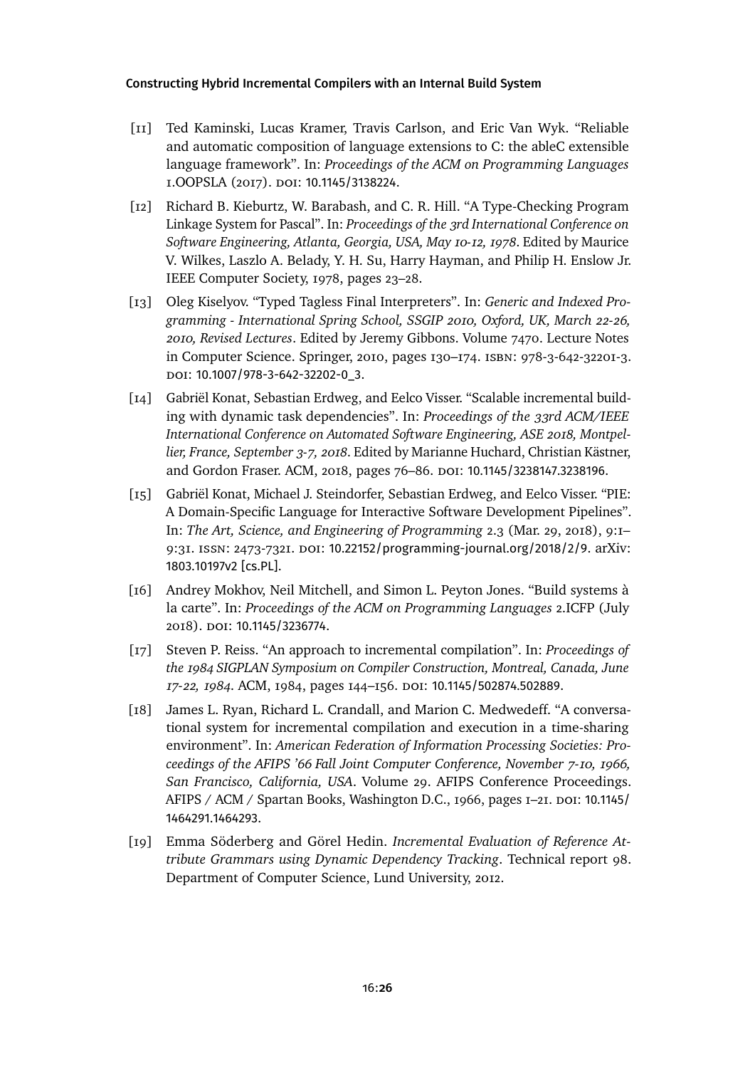- <span id="page-25-8"></span>[11] Ted Kaminski, Lucas Kramer, Travis Carlson, and Eric Van Wyk. "Reliable and automatic composition of language extensions to C: the ableC extensible language framework". In: *Proceedings of the ACM on Programming Languages* 1.OOPSLA (2017). doi: [10.1145/3138224](https://doi.org/10.1145/3138224).
- <span id="page-25-4"></span>[12] Richard B. Kieburtz, W. Barabash, and C. R. Hill. "A Type-Checking Program Linkage System for Pascal". In: *Proceedings of the 3rd International Conference on Software Engineering, Atlanta, Georgia, USA, May 10-12, 1978*. Edited by Maurice V. Wilkes, Laszlo A. Belady, Y. H. Su, Harry Hayman, and Philip H. Enslow Jr. IEEE Computer Society, 1978, pages 23–28.
- <span id="page-25-7"></span>[13] Oleg Kiselyov. "Typed Tagless Final Interpreters". In: *Generic and Indexed Programming - International Spring School, SSGIP 2010, Oxford, UK, March 22-26, 2010, Revised Lectures*. Edited by Jeremy Gibbons. Volume 7470. Lecture Notes in Computer Science. Springer, 2010, pages 130–174. isbn: 978-3-642-32201-3. doi: [10.1007/978-3-642-32202-0\\_3](https://doi.org/10.1007/978-3-642-32202-0_3).
- <span id="page-25-2"></span>[14] Gabriël Konat, Sebastian Erdweg, and Eelco Visser. "Scalable incremental building with dynamic task dependencies". In: *Proceedings of the 33rd ACM/IEEE International Conference on Automated Software Engineering, ASE 2018, Montpellier, France, September 3-7, 2018*. Edited by Marianne Huchard, Christian Kästner, and Gordon Fraser. ACM, 2018, pages 76-86. DOI: [10.1145/3238147.3238196](https://doi.org/10.1145/3238147.3238196).
- <span id="page-25-3"></span>[15] Gabriël Konat, Michael J. Steindorfer, Sebastian Erdweg, and Eelco Visser. "PIE: A Domain-Specific Language for Interactive Software Development Pipelines". In: *The Art, Science, and Engineering of Programming* 2.3 (Mar. 29, 2018), 9:1– 9:31. ISSN: 2473-7321. DOI: [10.22152/programming-journal.org/2018/2/9](https://doi.org/10.22152/programming-journal.org/2018/2/9). arXiv: [1803.10197v2 \[cs.PL\]](https://arxiv.org/abs/1803.10197v2).
- <span id="page-25-5"></span>[16] Andrey Mokhov, Neil Mitchell, and Simon L. Peyton Jones. "Build systems à la carte". In: *Proceedings of the ACM on Programming Languages* 2.ICFP (July 2018). doi: [10.1145/3236774](https://doi.org/10.1145/3236774).
- <span id="page-25-0"></span>[17] Steven P. Reiss. "An approach to incremental compilation". In: *Proceedings of the 1984 SIGPLAN Symposium on Compiler Construction, Montreal, Canada, June 17-22, 1984*. ACM, 1984, pages 144–156. doi: [10.1145/502874.502889](https://doi.org/10.1145/502874.502889).
- <span id="page-25-1"></span>[18] James L. Ryan, Richard L. Crandall, and Marion C. Medwedeff. "A conversational system for incremental compilation and execution in a time-sharing environment". In: *American Federation of Information Processing Societies: Proceedings of the AFIPS '66 Fall Joint Computer Conference, November 7-10, 1966, San Francisco, California, USA*. Volume 29. AFIPS Conference Proceedings. AFIPS / ACM / Spartan Books, Washington D.C., 1966, pages 1–21. doi: [10.1145/](https://doi.org/10.1145/1464291.1464293) [1464291.1464293](https://doi.org/10.1145/1464291.1464293).
- <span id="page-25-6"></span>[19] Emma Söderberg and Görel Hedin. *Incremental Evaluation of Reference Attribute Grammars using Dynamic Dependency Tracking*. Technical report 98. Department of Computer Science, Lund University, 2012.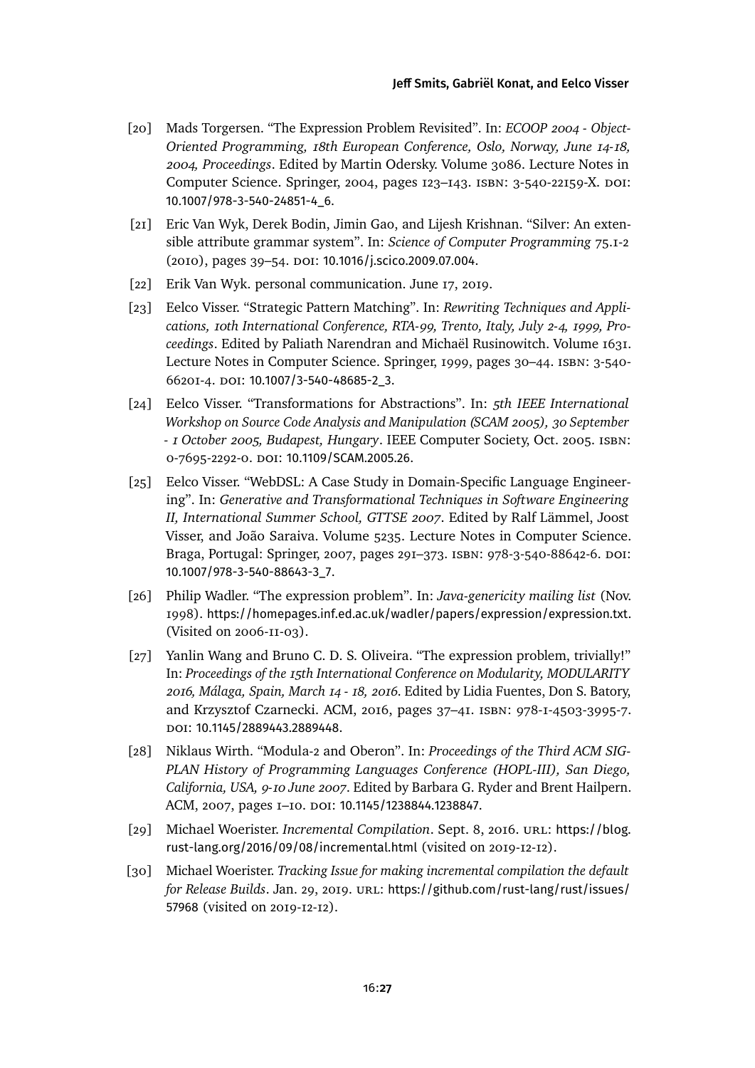- <span id="page-26-7"></span>[20] Mads Torgersen. "The Expression Problem Revisited". In: *ECOOP 2004 - Object-Oriented Programming, 18th European Conference, Oslo, Norway, June 14-18, 2004, Proceedings*. Edited by Martin Odersky. Volume 3086. Lecture Notes in Computer Science. Springer, 2004, pages 123-143. ISBN: 3-540-22159-X. DOI: [10.1007/978-3-540-24851-4\\_6](https://doi.org/10.1007/978-3-540-24851-4_6).
- <span id="page-26-9"></span>[21] Eric Van Wyk, Derek Bodin, Jimin Gao, and Lijesh Krishnan. "Silver: An extensible attribute grammar system". In: *Science of Computer Programming* 75.1-2 (2010), pages 39-54. DOI: [10.1016/j.scico.2009.07.004](https://doi.org/10.1016/j.scico.2009.07.004).
- <span id="page-26-10"></span>[22] Erik Van Wyk. personal communication. June 17, 2019.
- <span id="page-26-2"></span>[23] Eelco Visser. "Strategic Pattern Matching". In: *Rewriting Techniques and Applications, 10th International Conference, RTA-99, Trento, Italy, July 2-4, 1999, Proceedings*. Edited by Paliath Narendran and Michaël Rusinowitch. Volume 1631. Lecture Notes in Computer Science. Springer, 1999, pages 30–44. isbn: 3-540- 66201-4. doi: [10.1007/3-540-48685-2\\_3](https://doi.org/10.1007/3-540-48685-2_3).
- <span id="page-26-1"></span>[24] Eelco Visser. "Transformations for Abstractions". In: *5th IEEE International Workshop on Source Code Analysis and Manipulation (SCAM 2005), 30 September - 1 October 2005, Budapest, Hungary*. IEEE Computer Society, Oct. 2005. isbn: 0-7695-2292-0. doi: [10.1109/SCAM.2005.26](https://doi.org/10.1109/SCAM.2005.26).
- <span id="page-26-3"></span>[25] Eelco Visser. "WebDSL: A Case Study in Domain-Specific Language Engineering". In: *Generative and Transformational Techniques in Software Engineering II, International Summer School, GTTSE 2007*. Edited by Ralf Lämmel, Joost Visser, and João Saraiva. Volume 5235. Lecture Notes in Computer Science. Braga, Portugal: Springer, 2007, pages 291–373. isbn: 978-3-540-88642-6. doi: [10.1007/978-3-540-88643-3\\_7](https://doi.org/10.1007/978-3-540-88643-3_7).
- <span id="page-26-0"></span>[26] Philip Wadler. "The expression problem". In: *Java-genericity mailing list* (Nov. 1998). <https://homepages.inf.ed.ac.uk/wadler/papers/expression/expression.txt>. (Visited on 2006-11-03).
- <span id="page-26-8"></span>[27] Yanlin Wang and Bruno C. D. S. Oliveira. "The expression problem, trivially!" In: *Proceedings of the 15th International Conference on Modularity, MODULARITY 2016, Málaga, Spain, March 14 - 18, 2016*. Edited by Lidia Fuentes, Don S. Batory, and Krzysztof Czarnecki. ACM, 2016, pages 37–41. isbn: 978-1-4503-3995-7. doi: [10.1145/2889443.2889448](https://doi.org/10.1145/2889443.2889448).
- <span id="page-26-4"></span>[28] Niklaus Wirth. "Modula-2 and Oberon". In: *Proceedings of the Third ACM SIG-PLAN History of Programming Languages Conference (HOPL-III), San Diego, California, USA, 9-10 June 2007*. Edited by Barbara G. Ryder and Brent Hailpern. ACM, 2007, pages 1–10. doi: [10.1145/1238844.1238847](https://doi.org/10.1145/1238844.1238847).
- <span id="page-26-5"></span>[29] Michael Woerister. *Incremental Compilation*. Sept. 8, 2016. url: [https://blog.](https://blog.rust-lang.org/2016/09/08/incremental.html) [rust-lang.org/2016/09/08/incremental.html](https://blog.rust-lang.org/2016/09/08/incremental.html) (visited on 2019-12-12).
- <span id="page-26-6"></span>[30] Michael Woerister. *Tracking Issue for making incremental compilation the default for Release Builds. Jan. 29, 2019. URL: [https://github.com/rust-lang/rust/issues/](https://github.com/rust-lang/rust/issues/57968)* [57968](https://github.com/rust-lang/rust/issues/57968) (visited on 2019-12-12).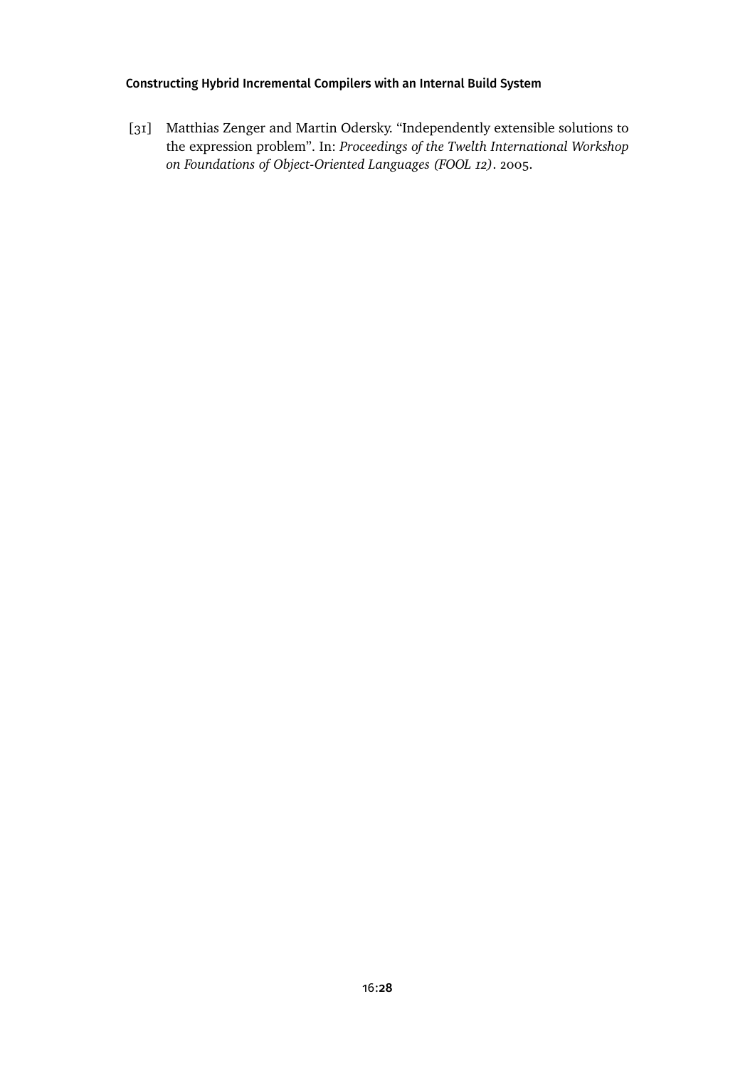<span id="page-27-0"></span>[31] Matthias Zenger and Martin Odersky. "Independently extensible solutions to the expression problem". In: *Proceedings of the Twelth International Workshop on Foundations of Object-Oriented Languages (FOOL 12)*. 2005.